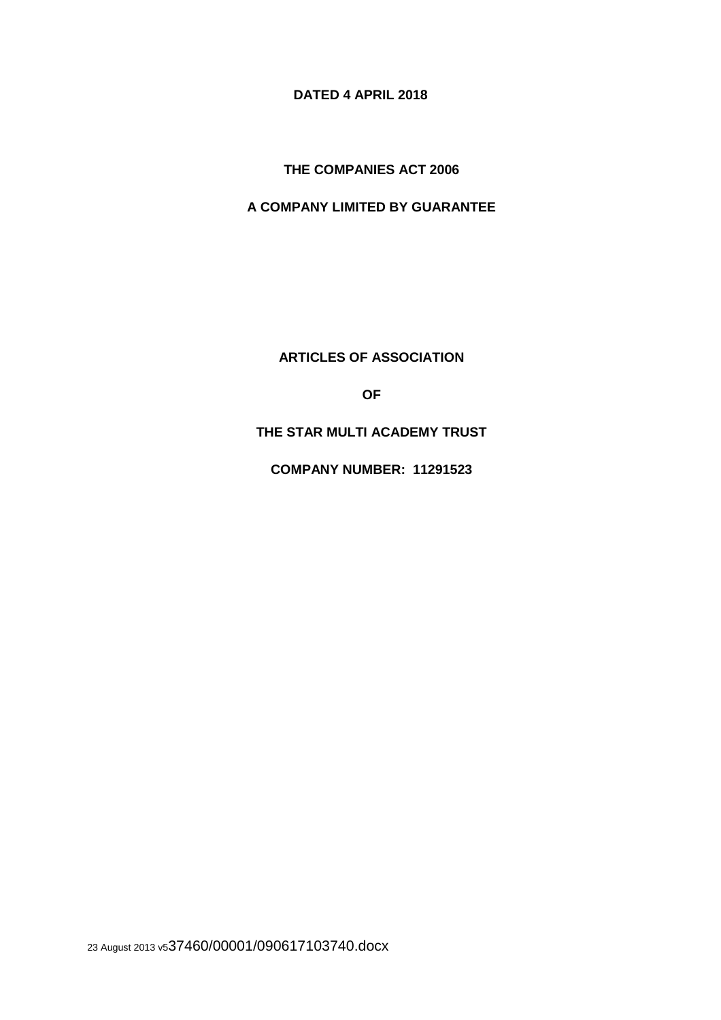**DATED 4 APRIL 2018** 

**THE COMPANIES ACT 2006** 

**A COMPANY LIMITED BY GUARANTEE** 

**ARTICLES OF ASSOCIATION** 

**OF** 

**THE STAR MULTI ACADEMY TRUST** 

**COMPANY NUMBER: 11291523**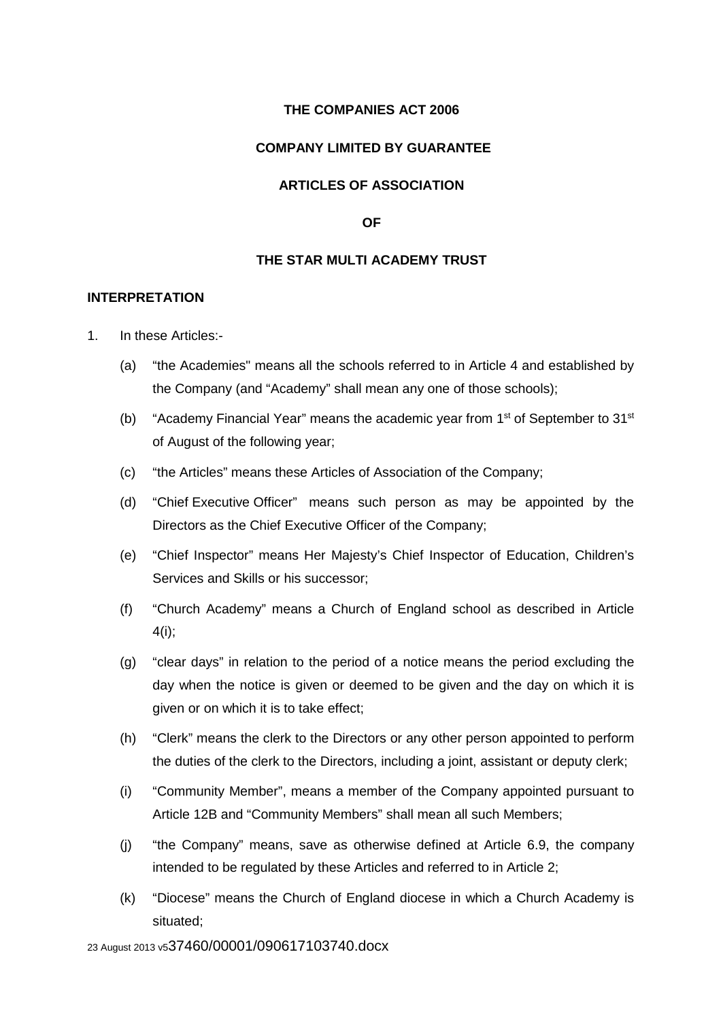# **THE COMPANIES ACT 2006**

## **COMPANY LIMITED BY GUARANTEE**

## **ARTICLES OF ASSOCIATION**

#### **OF**

## **THE STAR MULTI ACADEMY TRUST**

## **INTERPRETATION**

- 1. In these Articles:-
	- (a) "the Academies" means all the schools referred to in Article 4 and established by the Company (and "Academy" shall mean any one of those schools);
	- (b) "Academy Financial Year" means the academic year from  $1<sup>st</sup>$  of September to 31 $<sup>st</sup>$ </sup> of August of the following year;
	- (c) "the Articles" means these Articles of Association of the Company;
	- (d) "Chief Executive Officer" means such person as may be appointed by the Directors as the Chief Executive Officer of the Company;
	- (e) "Chief Inspector" means Her Majesty's Chief Inspector of Education, Children's Services and Skills or his successor;
	- (f) "Church Academy" means a Church of England school as described in Article 4(i);
	- (g) "clear days" in relation to the period of a notice means the period excluding the day when the notice is given or deemed to be given and the day on which it is given or on which it is to take effect;
	- (h) "Clerk" means the clerk to the Directors or any other person appointed to perform the duties of the clerk to the Directors, including a joint, assistant or deputy clerk;
	- (i) "Community Member", means a member of the Company appointed pursuant to Article 12B and "Community Members" shall mean all such Members;
	- (j) "the Company" means, save as otherwise defined at Article 6.9, the company intended to be regulated by these Articles and referred to in Article 2;
	- (k) "Diocese" means the Church of England diocese in which a Church Academy is situated;

23 August 2013 v537460/00001/090617103740.docx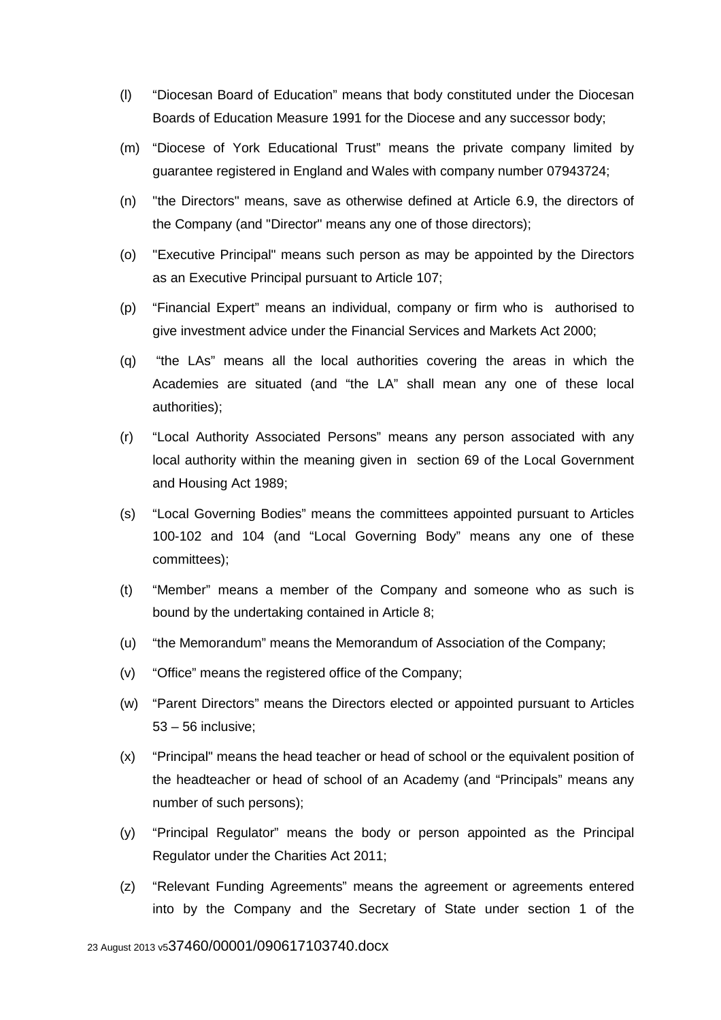- (l) "Diocesan Board of Education" means that body constituted under the Diocesan Boards of Education Measure 1991 for the Diocese and any successor body;
- (m) "Diocese of York Educational Trust" means the private company limited by guarantee registered in England and Wales with company number 07943724;
- (n) "the Directors" means, save as otherwise defined at Article 6.9, the directors of the Company (and "Director" means any one of those directors);
- (o) "Executive Principal" means such person as may be appointed by the Directors as an Executive Principal pursuant to Article 107;
- (p) "Financial Expert" means an individual, company or firm who is authorised to give investment advice under the Financial Services and Markets Act 2000;
- (q) "the LAs" means all the local authorities covering the areas in which the Academies are situated (and "the LA" shall mean any one of these local authorities);
- (r) "Local Authority Associated Persons" means any person associated with any local authority within the meaning given in section 69 of the Local Government and Housing Act 1989;
- (s) "Local Governing Bodies" means the committees appointed pursuant to Articles 100-102 and 104 (and "Local Governing Body" means any one of these committees);
- (t) "Member" means a member of the Company and someone who as such is bound by the undertaking contained in Article 8;
- (u) "the Memorandum" means the Memorandum of Association of the Company;
- (v) "Office" means the registered office of the Company;
- (w) "Parent Directors" means the Directors elected or appointed pursuant to Articles 53 – 56 inclusive;
- (x) "Principal" means the head teacher or head of school or the equivalent position of the headteacher or head of school of an Academy (and "Principals" means any number of such persons);
- (y) "Principal Regulator" means the body or person appointed as the Principal Regulator under the Charities Act 2011;
- (z) "Relevant Funding Agreements" means the agreement or agreements entered into by the Company and the Secretary of State under section 1 of the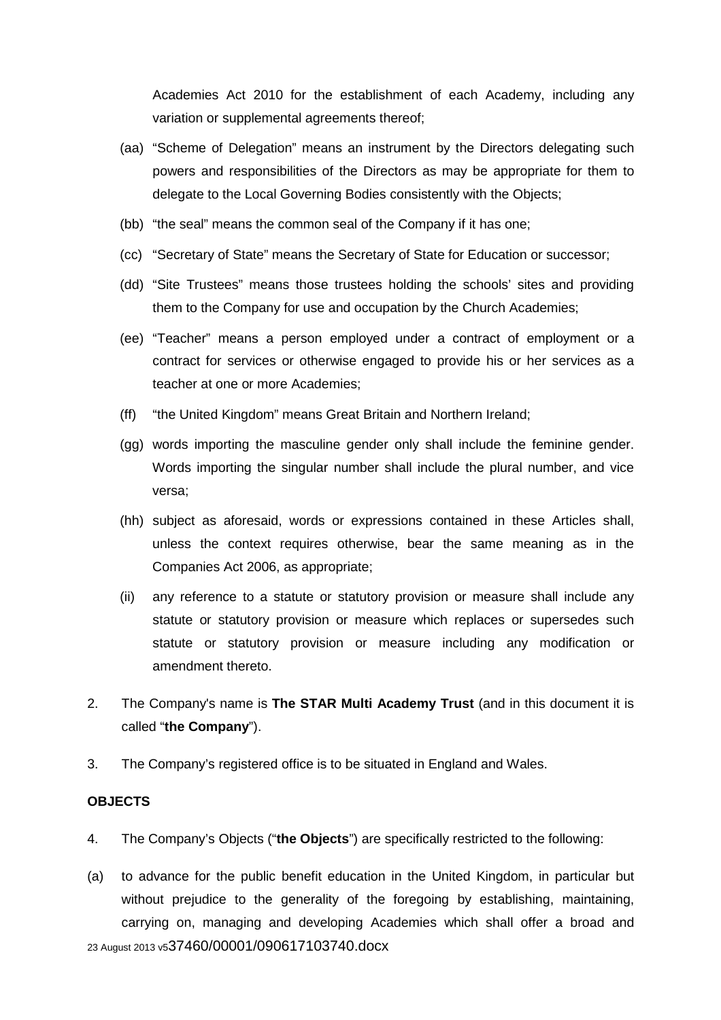Academies Act 2010 for the establishment of each Academy, including any variation or supplemental agreements thereof;

- (aa) "Scheme of Delegation" means an instrument by the Directors delegating such powers and responsibilities of the Directors as may be appropriate for them to delegate to the Local Governing Bodies consistently with the Objects;
- (bb) "the seal" means the common seal of the Company if it has one;
- (cc) "Secretary of State" means the Secretary of State for Education or successor;
- (dd) "Site Trustees" means those trustees holding the schools' sites and providing them to the Company for use and occupation by the Church Academies;
- (ee) "Teacher" means a person employed under a contract of employment or a contract for services or otherwise engaged to provide his or her services as a teacher at one or more Academies;
- (ff) "the United Kingdom" means Great Britain and Northern Ireland;
- (gg) words importing the masculine gender only shall include the feminine gender. Words importing the singular number shall include the plural number, and vice versa;
- (hh) subject as aforesaid, words or expressions contained in these Articles shall, unless the context requires otherwise, bear the same meaning as in the Companies Act 2006, as appropriate;
- (ii) any reference to a statute or statutory provision or measure shall include any statute or statutory provision or measure which replaces or supersedes such statute or statutory provision or measure including any modification or amendment thereto.
- 2. The Company's name is **The STAR Multi Academy Trust** (and in this document it is called "**the Company**").
- 3. The Company's registered office is to be situated in England and Wales.

#### **OBJECTS**

- 4. The Company's Objects ("**the Objects**") are specifically restricted to the following:
- 23 August 2013 v537460/00001/090617103740.docx (a) to advance for the public benefit education in the United Kingdom, in particular but without prejudice to the generality of the foregoing by establishing, maintaining, carrying on, managing and developing Academies which shall offer a broad and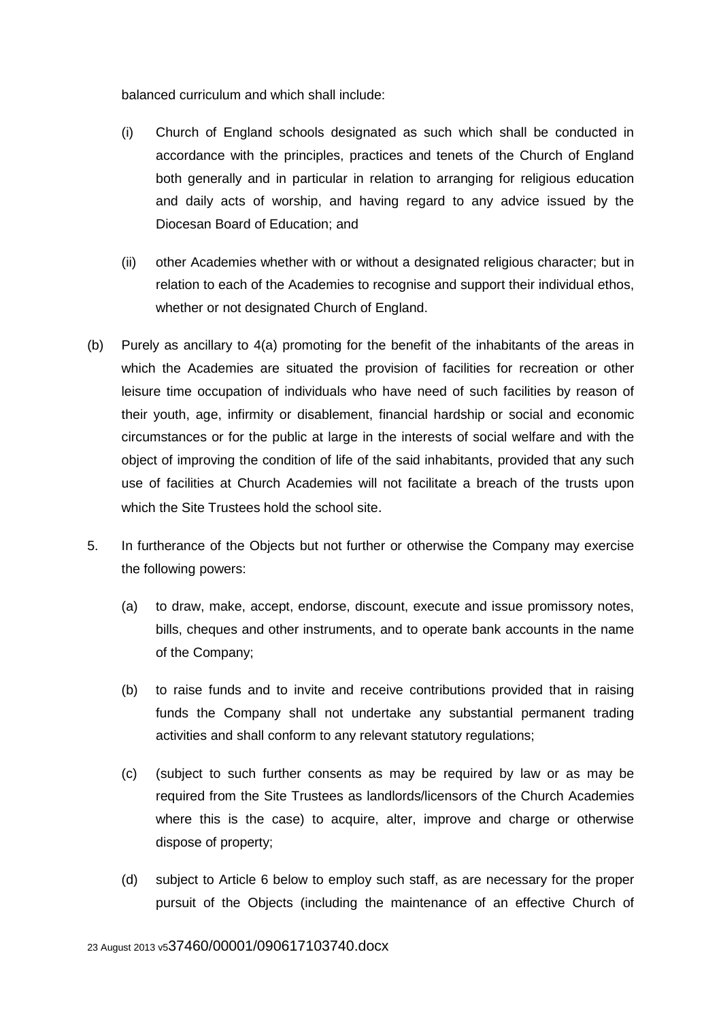balanced curriculum and which shall include:

- (i) Church of England schools designated as such which shall be conducted in accordance with the principles, practices and tenets of the Church of England both generally and in particular in relation to arranging for religious education and daily acts of worship, and having regard to any advice issued by the Diocesan Board of Education; and
- (ii) other Academies whether with or without a designated religious character; but in relation to each of the Academies to recognise and support their individual ethos, whether or not designated Church of England.
- (b) Purely as ancillary to 4(a) promoting for the benefit of the inhabitants of the areas in which the Academies are situated the provision of facilities for recreation or other leisure time occupation of individuals who have need of such facilities by reason of their youth, age, infirmity or disablement, financial hardship or social and economic circumstances or for the public at large in the interests of social welfare and with the object of improving the condition of life of the said inhabitants, provided that any such use of facilities at Church Academies will not facilitate a breach of the trusts upon which the Site Trustees hold the school site.
- 5. In furtherance of the Objects but not further or otherwise the Company may exercise the following powers:
	- (a) to draw, make, accept, endorse, discount, execute and issue promissory notes, bills, cheques and other instruments, and to operate bank accounts in the name of the Company;
	- (b) to raise funds and to invite and receive contributions provided that in raising funds the Company shall not undertake any substantial permanent trading activities and shall conform to any relevant statutory regulations;
	- (c) (subject to such further consents as may be required by law or as may be required from the Site Trustees as landlords/licensors of the Church Academies where this is the case) to acquire, alter, improve and charge or otherwise dispose of property;
	- (d) subject to Article 6 below to employ such staff, as are necessary for the proper pursuit of the Objects (including the maintenance of an effective Church of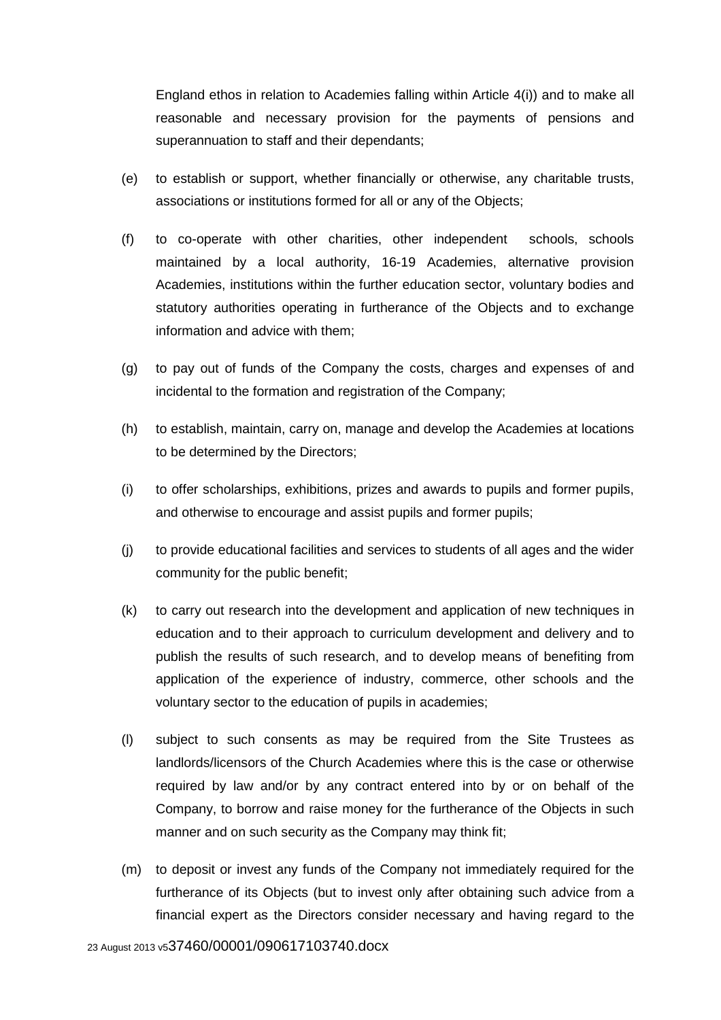England ethos in relation to Academies falling within Article 4(i)) and to make all reasonable and necessary provision for the payments of pensions and superannuation to staff and their dependants;

- (e) to establish or support, whether financially or otherwise, any charitable trusts, associations or institutions formed for all or any of the Objects;
- (f) to co-operate with other charities, other independent schools, schools maintained by a local authority, 16-19 Academies, alternative provision Academies, institutions within the further education sector, voluntary bodies and statutory authorities operating in furtherance of the Objects and to exchange information and advice with them;
- (g) to pay out of funds of the Company the costs, charges and expenses of and incidental to the formation and registration of the Company;
- (h) to establish, maintain, carry on, manage and develop the Academies at locations to be determined by the Directors;
- (i) to offer scholarships, exhibitions, prizes and awards to pupils and former pupils, and otherwise to encourage and assist pupils and former pupils;
- (j) to provide educational facilities and services to students of all ages and the wider community for the public benefit;
- (k) to carry out research into the development and application of new techniques in education and to their approach to curriculum development and delivery and to publish the results of such research, and to develop means of benefiting from application of the experience of industry, commerce, other schools and the voluntary sector to the education of pupils in academies;
- (l) subject to such consents as may be required from the Site Trustees as landlords/licensors of the Church Academies where this is the case or otherwise required by law and/or by any contract entered into by or on behalf of the Company, to borrow and raise money for the furtherance of the Objects in such manner and on such security as the Company may think fit;
- (m) to deposit or invest any funds of the Company not immediately required for the furtherance of its Objects (but to invest only after obtaining such advice from a financial expert as the Directors consider necessary and having regard to the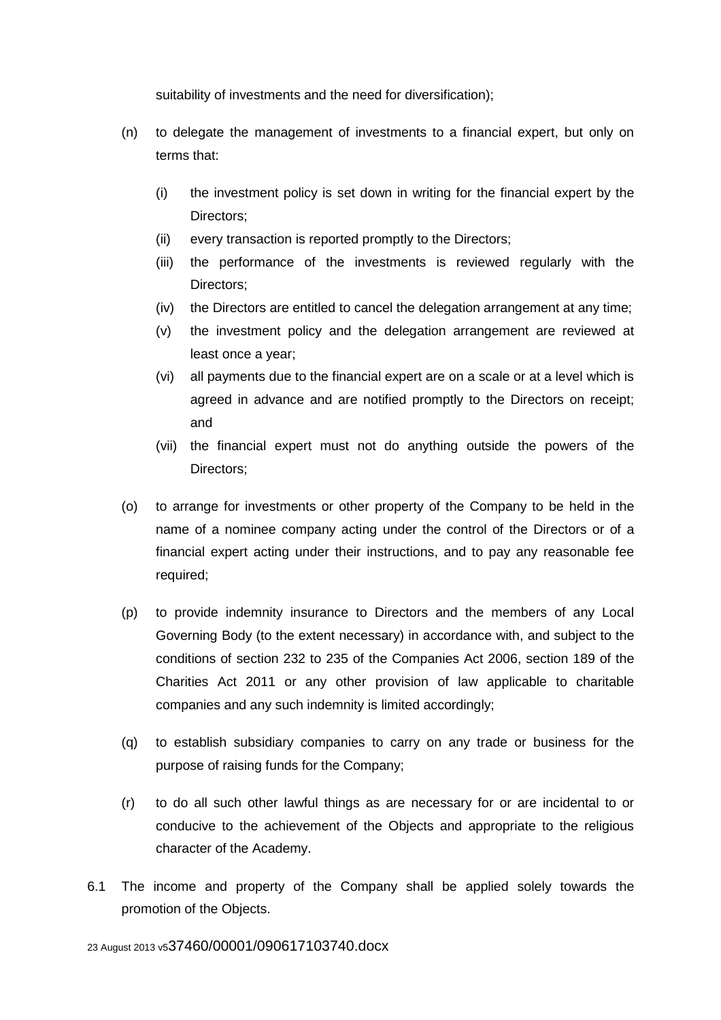suitability of investments and the need for diversification);

- (n) to delegate the management of investments to a financial expert, but only on terms that:
	- (i) the investment policy is set down in writing for the financial expert by the Directors;
	- (ii) every transaction is reported promptly to the Directors;
	- (iii) the performance of the investments is reviewed regularly with the Directors;
	- (iv) the Directors are entitled to cancel the delegation arrangement at any time;
	- (v) the investment policy and the delegation arrangement are reviewed at least once a year;
	- (vi) all payments due to the financial expert are on a scale or at a level which is agreed in advance and are notified promptly to the Directors on receipt; and
	- (vii) the financial expert must not do anything outside the powers of the Directors;
- (o) to arrange for investments or other property of the Company to be held in the name of a nominee company acting under the control of the Directors or of a financial expert acting under their instructions, and to pay any reasonable fee required;
- (p) to provide indemnity insurance to Directors and the members of any Local Governing Body (to the extent necessary) in accordance with, and subject to the conditions of section 232 to 235 of the Companies Act 2006, section 189 of the Charities Act 2011 or any other provision of law applicable to charitable companies and any such indemnity is limited accordingly;
- (q) to establish subsidiary companies to carry on any trade or business for the purpose of raising funds for the Company;
- (r) to do all such other lawful things as are necessary for or are incidental to or conducive to the achievement of the Objects and appropriate to the religious character of the Academy.
- 6.1 The income and property of the Company shall be applied solely towards the promotion of the Objects.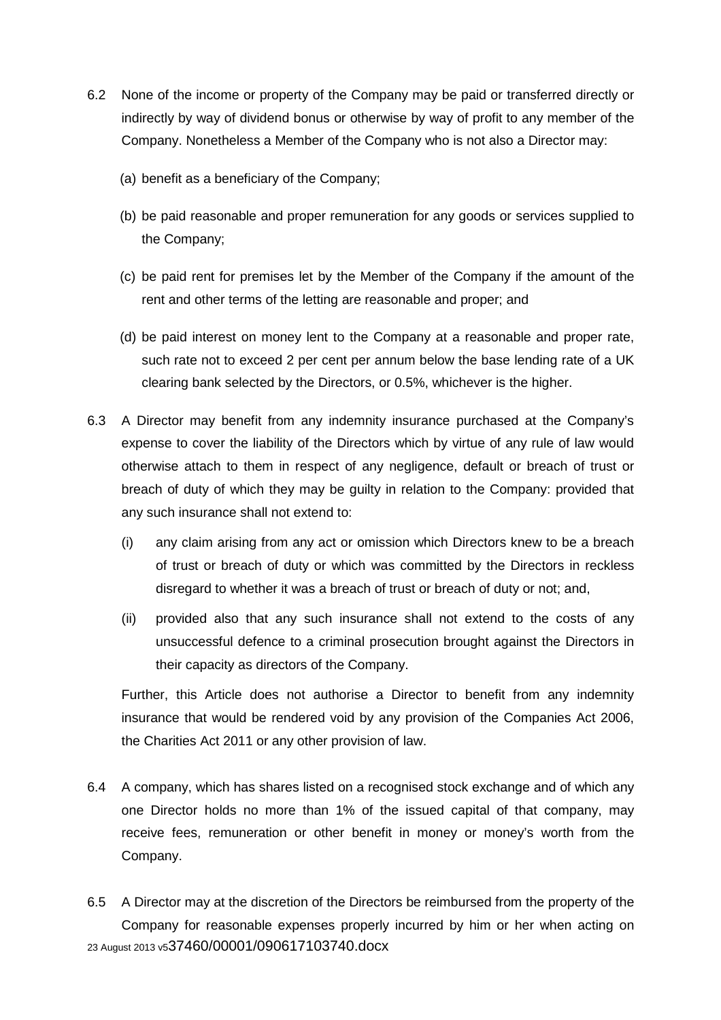- 6.2 None of the income or property of the Company may be paid or transferred directly or indirectly by way of dividend bonus or otherwise by way of profit to any member of the Company. Nonetheless a Member of the Company who is not also a Director may:
	- (a) benefit as a beneficiary of the Company;
	- (b) be paid reasonable and proper remuneration for any goods or services supplied to the Company;
	- (c) be paid rent for premises let by the Member of the Company if the amount of the rent and other terms of the letting are reasonable and proper; and
	- (d) be paid interest on money lent to the Company at a reasonable and proper rate, such rate not to exceed 2 per cent per annum below the base lending rate of a UK clearing bank selected by the Directors, or 0.5%, whichever is the higher.
- 6.3 A Director may benefit from any indemnity insurance purchased at the Company's expense to cover the liability of the Directors which by virtue of any rule of law would otherwise attach to them in respect of any negligence, default or breach of trust or breach of duty of which they may be guilty in relation to the Company: provided that any such insurance shall not extend to:
	- (i) any claim arising from any act or omission which Directors knew to be a breach of trust or breach of duty or which was committed by the Directors in reckless disregard to whether it was a breach of trust or breach of duty or not; and,
	- (ii) provided also that any such insurance shall not extend to the costs of any unsuccessful defence to a criminal prosecution brought against the Directors in their capacity as directors of the Company.

Further, this Article does not authorise a Director to benefit from any indemnity insurance that would be rendered void by any provision of the Companies Act 2006, the Charities Act 2011 or any other provision of law.

- 6.4 A company, which has shares listed on a recognised stock exchange and of which any one Director holds no more than 1% of the issued capital of that company, may receive fees, remuneration or other benefit in money or money's worth from the Company.
- 23 August 2013 v537460/00001/090617103740.docx 6.5 A Director may at the discretion of the Directors be reimbursed from the property of the Company for reasonable expenses properly incurred by him or her when acting on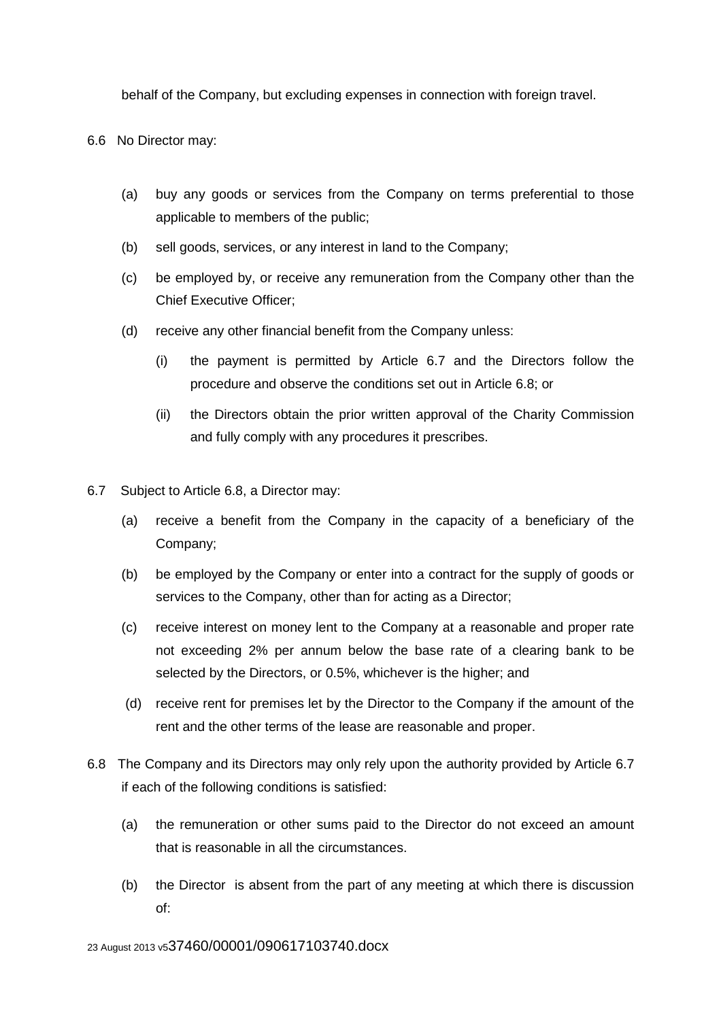behalf of the Company, but excluding expenses in connection with foreign travel.

6.6 No Director may:

- (a) buy any goods or services from the Company on terms preferential to those applicable to members of the public;
- (b) sell goods, services, or any interest in land to the Company;
- (c) be employed by, or receive any remuneration from the Company other than the Chief Executive Officer;
- (d) receive any other financial benefit from the Company unless:
	- (i) the payment is permitted by Article 6.7 and the Directors follow the procedure and observe the conditions set out in Article 6.8; or
	- (ii) the Directors obtain the prior written approval of the Charity Commission and fully comply with any procedures it prescribes.
- 6.7 Subject to Article 6.8, a Director may:
	- (a) receive a benefit from the Company in the capacity of a beneficiary of the Company;
	- (b) be employed by the Company or enter into a contract for the supply of goods or services to the Company, other than for acting as a Director;
	- (c) receive interest on money lent to the Company at a reasonable and proper rate not exceeding 2% per annum below the base rate of a clearing bank to be selected by the Directors, or 0.5%, whichever is the higher; and
	- (d) receive rent for premises let by the Director to the Company if the amount of the rent and the other terms of the lease are reasonable and proper.
- 6.8 The Company and its Directors may only rely upon the authority provided by Article 6.7 if each of the following conditions is satisfied:
	- (a) the remuneration or other sums paid to the Director do not exceed an amount that is reasonable in all the circumstances.
	- (b) the Director is absent from the part of any meeting at which there is discussion of: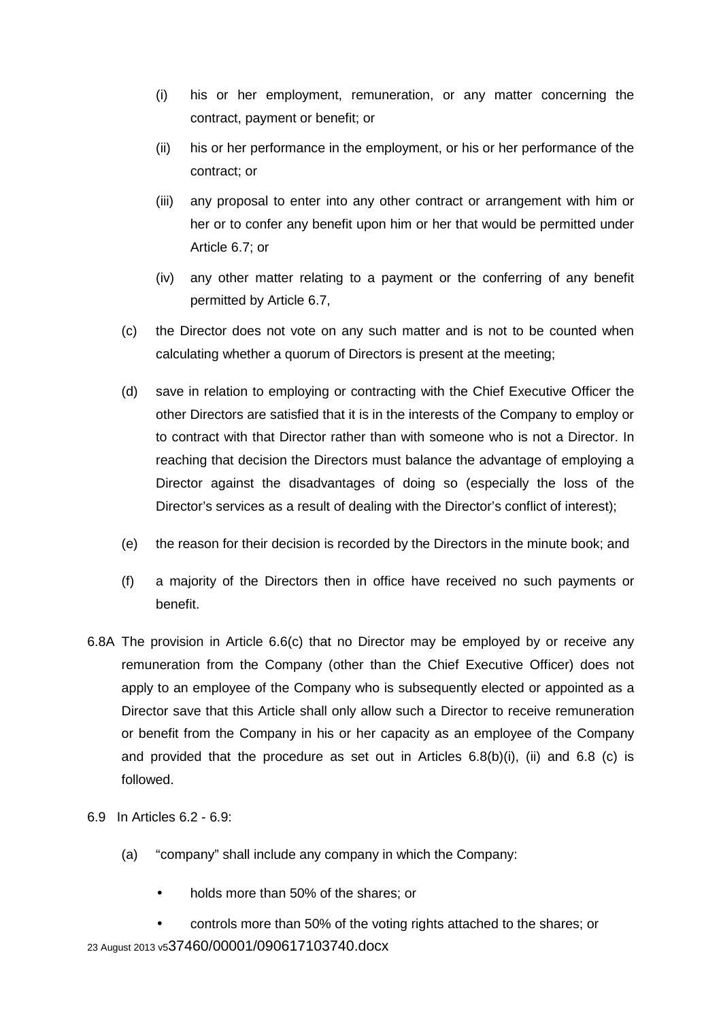- (i) his or her employment, remuneration, or any matter concerning the contract, payment or benefit; or
- (ii) his or her performance in the employment, or his or her performance of the contract; or
- (iii) any proposal to enter into any other contract or arrangement with him or her or to confer any benefit upon him or her that would be permitted under Article 6.7; or
- (iv) any other matter relating to a payment or the conferring of any benefit permitted by Article 6.7,
- (c) the Director does not vote on any such matter and is not to be counted when calculating whether a quorum of Directors is present at the meeting;
- (d) save in relation to employing or contracting with the Chief Executive Officer the other Directors are satisfied that it is in the interests of the Company to employ or to contract with that Director rather than with someone who is not a Director. In reaching that decision the Directors must balance the advantage of employing a Director against the disadvantages of doing so (especially the loss of the Director's services as a result of dealing with the Director's conflict of interest);
- (e) the reason for their decision is recorded by the Directors in the minute book; and
- (f) a majority of the Directors then in office have received no such payments or benefit.
- 6.8A The provision in Article 6.6(c) that no Director may be employed by or receive any remuneration from the Company (other than the Chief Executive Officer) does not apply to an employee of the Company who is subsequently elected or appointed as a Director save that this Article shall only allow such a Director to receive remuneration or benefit from the Company in his or her capacity as an employee of the Company and provided that the procedure as set out in Articles  $6.8(b)(i)$ , (ii) and  $6.8(c)$  is followed.

## 6.9 In Articles 6.2 - 6.9:

- (a) "company" shall include any company in which the Company:
	- holds more than 50% of the shares; or
- 23 August 2013 v537460/00001/090617103740.docx • controls more than 50% of the voting rights attached to the shares; or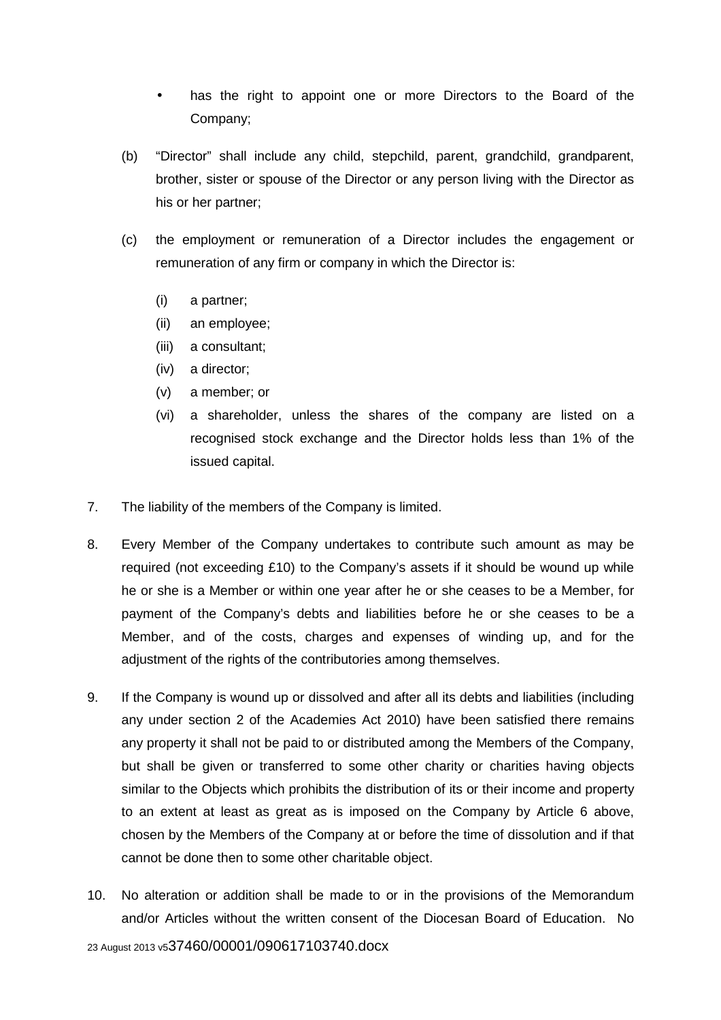- has the right to appoint one or more Directors to the Board of the Company;
- (b) "Director" shall include any child, stepchild, parent, grandchild, grandparent, brother, sister or spouse of the Director or any person living with the Director as his or her partner;
- (c) the employment or remuneration of a Director includes the engagement or remuneration of any firm or company in which the Director is:
	- (i) a partner;
	- (ii) an employee;
	- (iii) a consultant;
	- (iv) a director;
	- (v) a member; or
	- (vi) a shareholder, unless the shares of the company are listed on a recognised stock exchange and the Director holds less than 1% of the issued capital.
- 7. The liability of the members of the Company is limited.
- 8. Every Member of the Company undertakes to contribute such amount as may be required (not exceeding £10) to the Company's assets if it should be wound up while he or she is a Member or within one year after he or she ceases to be a Member, for payment of the Company's debts and liabilities before he or she ceases to be a Member, and of the costs, charges and expenses of winding up, and for the adjustment of the rights of the contributories among themselves.
- 9. If the Company is wound up or dissolved and after all its debts and liabilities (including any under section 2 of the Academies Act 2010) have been satisfied there remains any property it shall not be paid to or distributed among the Members of the Company, but shall be given or transferred to some other charity or charities having objects similar to the Objects which prohibits the distribution of its or their income and property to an extent at least as great as is imposed on the Company by Article 6 above, chosen by the Members of the Company at or before the time of dissolution and if that cannot be done then to some other charitable object.
- 10. No alteration or addition shall be made to or in the provisions of the Memorandum and/or Articles without the written consent of the Diocesan Board of Education. No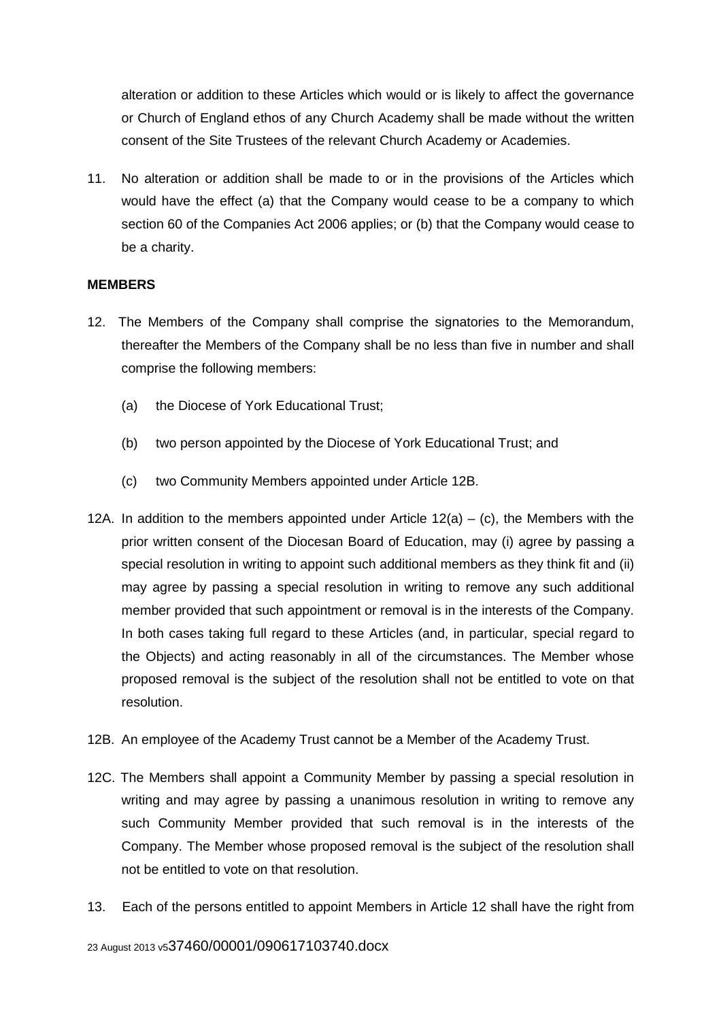alteration or addition to these Articles which would or is likely to affect the governance or Church of England ethos of any Church Academy shall be made without the written consent of the Site Trustees of the relevant Church Academy or Academies.

11. No alteration or addition shall be made to or in the provisions of the Articles which would have the effect (a) that the Company would cease to be a company to which section 60 of the Companies Act 2006 applies; or (b) that the Company would cease to be a charity.

## **MEMBERS**

- 12. The Members of the Company shall comprise the signatories to the Memorandum, thereafter the Members of the Company shall be no less than five in number and shall comprise the following members:
	- (a) the Diocese of York Educational Trust;
	- (b) two person appointed by the Diocese of York Educational Trust; and
	- (c) two Community Members appointed under Article 12B.
- 12A. In addition to the members appointed under Article  $12(a) (c)$ , the Members with the prior written consent of the Diocesan Board of Education, may (i) agree by passing a special resolution in writing to appoint such additional members as they think fit and (ii) may agree by passing a special resolution in writing to remove any such additional member provided that such appointment or removal is in the interests of the Company. In both cases taking full regard to these Articles (and, in particular, special regard to the Objects) and acting reasonably in all of the circumstances. The Member whose proposed removal is the subject of the resolution shall not be entitled to vote on that resolution.
- 12B. An employee of the Academy Trust cannot be a Member of the Academy Trust.
- 12C. The Members shall appoint a Community Member by passing a special resolution in writing and may agree by passing a unanimous resolution in writing to remove any such Community Member provided that such removal is in the interests of the Company. The Member whose proposed removal is the subject of the resolution shall not be entitled to vote on that resolution.
- 13. Each of the persons entitled to appoint Members in Article 12 shall have the right from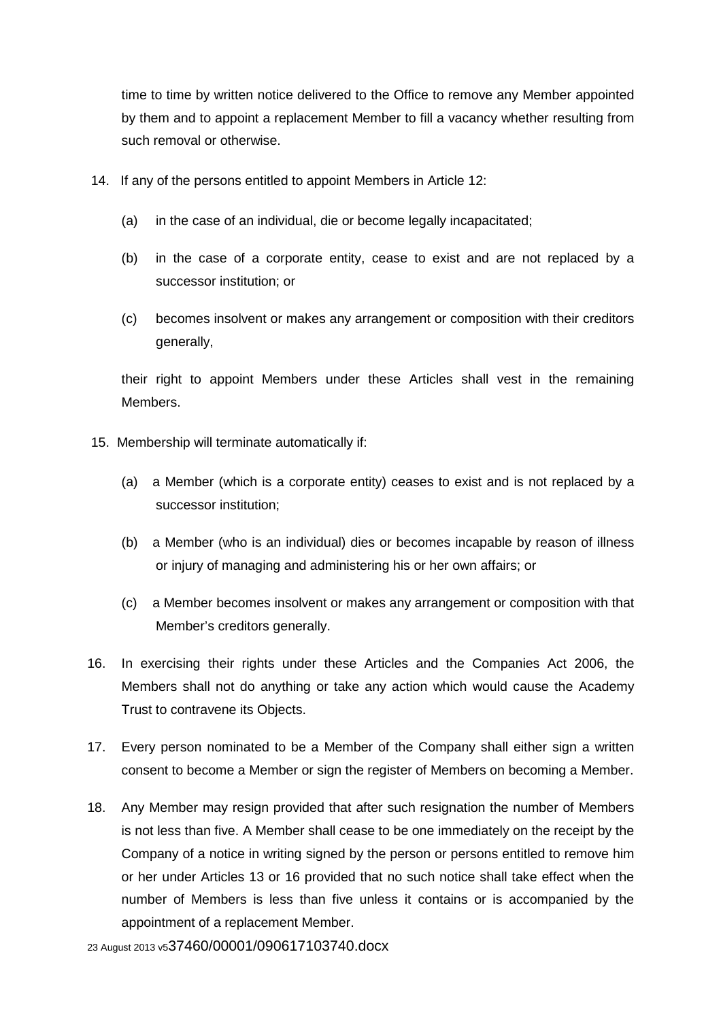time to time by written notice delivered to the Office to remove any Member appointed by them and to appoint a replacement Member to fill a vacancy whether resulting from such removal or otherwise.

- 14. If any of the persons entitled to appoint Members in Article 12:
	- (a) in the case of an individual, die or become legally incapacitated;
	- (b) in the case of a corporate entity, cease to exist and are not replaced by a successor institution; or
	- (c) becomes insolvent or makes any arrangement or composition with their creditors generally,

their right to appoint Members under these Articles shall vest in the remaining Members.

- 15. Membership will terminate automatically if:
	- (a) a Member (which is a corporate entity) ceases to exist and is not replaced by a successor institution;
	- (b) a Member (who is an individual) dies or becomes incapable by reason of illness or injury of managing and administering his or her own affairs; or
	- (c) a Member becomes insolvent or makes any arrangement or composition with that Member's creditors generally.
- 16. In exercising their rights under these Articles and the Companies Act 2006, the Members shall not do anything or take any action which would cause the Academy Trust to contravene its Objects.
- 17. Every person nominated to be a Member of the Company shall either sign a written consent to become a Member or sign the register of Members on becoming a Member.
- 18. Any Member may resign provided that after such resignation the number of Members is not less than five. A Member shall cease to be one immediately on the receipt by the Company of a notice in writing signed by the person or persons entitled to remove him or her under Articles 13 or 16 provided that no such notice shall take effect when the number of Members is less than five unless it contains or is accompanied by the appointment of a replacement Member.

23 August 2013 v537460/00001/090617103740.docx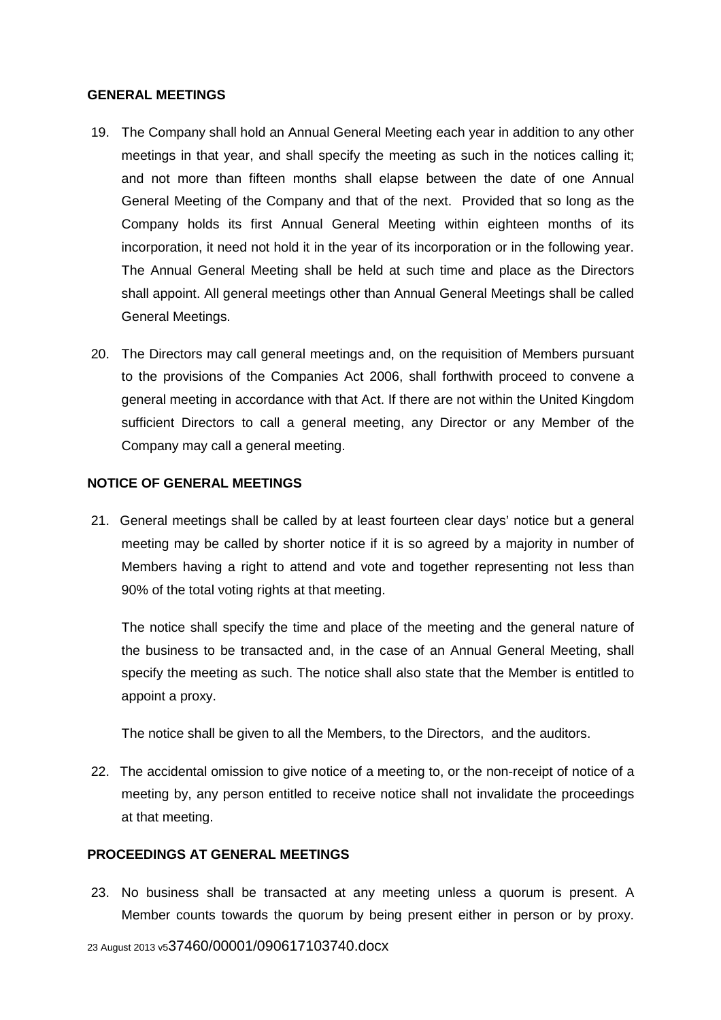#### **GENERAL MEETINGS**

- 19. The Company shall hold an Annual General Meeting each year in addition to any other meetings in that year, and shall specify the meeting as such in the notices calling it; and not more than fifteen months shall elapse between the date of one Annual General Meeting of the Company and that of the next. Provided that so long as the Company holds its first Annual General Meeting within eighteen months of its incorporation, it need not hold it in the year of its incorporation or in the following year. The Annual General Meeting shall be held at such time and place as the Directors shall appoint. All general meetings other than Annual General Meetings shall be called General Meetings.
- 20. The Directors may call general meetings and, on the requisition of Members pursuant to the provisions of the Companies Act 2006, shall forthwith proceed to convene a general meeting in accordance with that Act. If there are not within the United Kingdom sufficient Directors to call a general meeting, any Director or any Member of the Company may call a general meeting.

## **NOTICE OF GENERAL MEETINGS**

 21. General meetings shall be called by at least fourteen clear days' notice but a general meeting may be called by shorter notice if it is so agreed by a majority in number of Members having a right to attend and vote and together representing not less than 90% of the total voting rights at that meeting.

The notice shall specify the time and place of the meeting and the general nature of the business to be transacted and, in the case of an Annual General Meeting, shall specify the meeting as such. The notice shall also state that the Member is entitled to appoint a proxy.

The notice shall be given to all the Members, to the Directors, and the auditors.

 22. The accidental omission to give notice of a meeting to, or the non-receipt of notice of a meeting by, any person entitled to receive notice shall not invalidate the proceedings at that meeting.

## **PROCEEDINGS AT GENERAL MEETINGS**

 23. No business shall be transacted at any meeting unless a quorum is present. A Member counts towards the quorum by being present either in person or by proxy.

23 August 2013 v537460/00001/090617103740.docx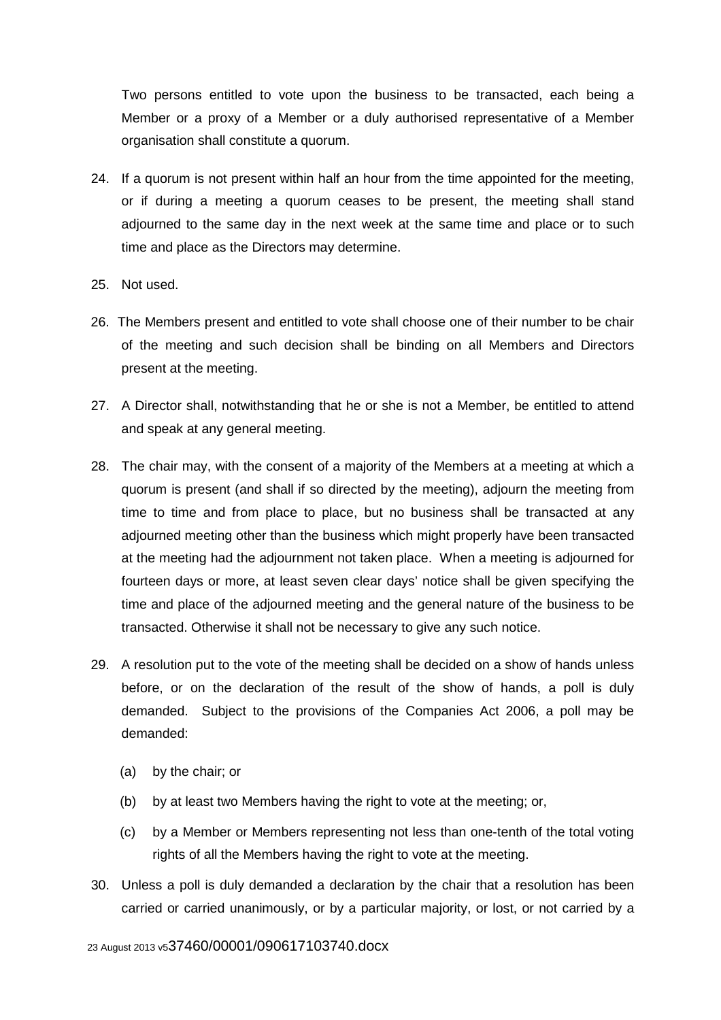Two persons entitled to vote upon the business to be transacted, each being a Member or a proxy of a Member or a duly authorised representative of a Member organisation shall constitute a quorum.

- 24. If a quorum is not present within half an hour from the time appointed for the meeting, or if during a meeting a quorum ceases to be present, the meeting shall stand adjourned to the same day in the next week at the same time and place or to such time and place as the Directors may determine.
- 25. Not used.
- 26. The Members present and entitled to vote shall choose one of their number to be chair of the meeting and such decision shall be binding on all Members and Directors present at the meeting.
- 27. A Director shall, notwithstanding that he or she is not a Member, be entitled to attend and speak at any general meeting.
- 28. The chair may, with the consent of a majority of the Members at a meeting at which a quorum is present (and shall if so directed by the meeting), adjourn the meeting from time to time and from place to place, but no business shall be transacted at any adjourned meeting other than the business which might properly have been transacted at the meeting had the adjournment not taken place. When a meeting is adjourned for fourteen days or more, at least seven clear days' notice shall be given specifying the time and place of the adjourned meeting and the general nature of the business to be transacted. Otherwise it shall not be necessary to give any such notice.
- 29. A resolution put to the vote of the meeting shall be decided on a show of hands unless before, or on the declaration of the result of the show of hands, a poll is duly demanded. Subject to the provisions of the Companies Act 2006, a poll may be demanded:
	- (a) by the chair; or
	- (b) by at least two Members having the right to vote at the meeting; or,
	- (c) by a Member or Members representing not less than one-tenth of the total voting rights of all the Members having the right to vote at the meeting.
- 30. Unless a poll is duly demanded a declaration by the chair that a resolution has been carried or carried unanimously, or by a particular majority, or lost, or not carried by a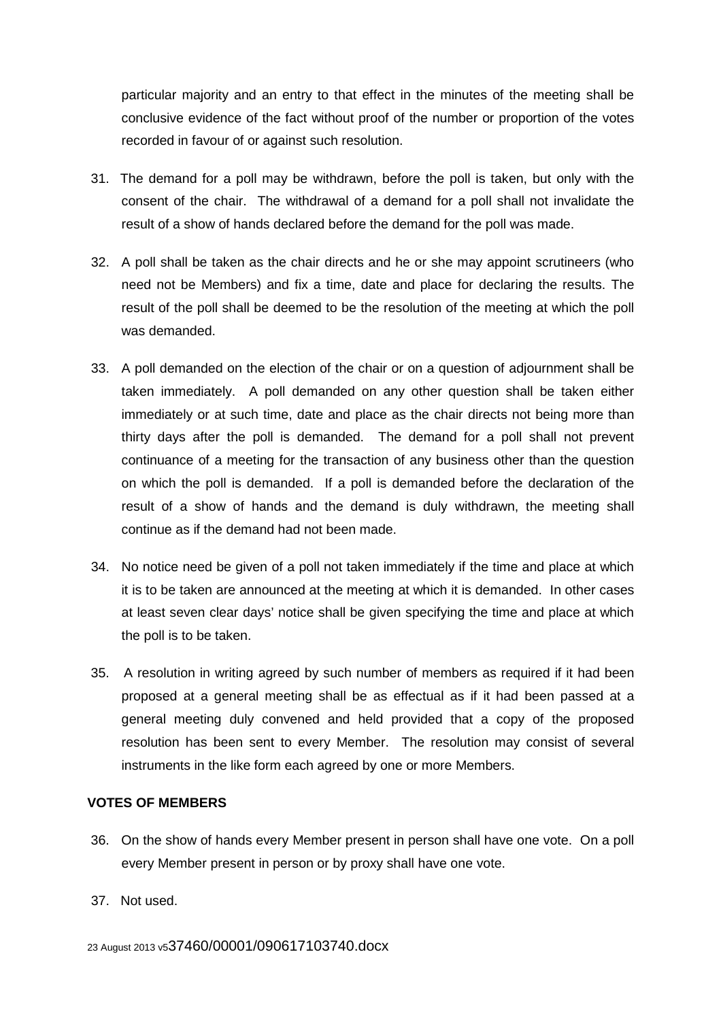particular majority and an entry to that effect in the minutes of the meeting shall be conclusive evidence of the fact without proof of the number or proportion of the votes recorded in favour of or against such resolution.

- 31. The demand for a poll may be withdrawn, before the poll is taken, but only with the consent of the chair. The withdrawal of a demand for a poll shall not invalidate the result of a show of hands declared before the demand for the poll was made.
- 32. A poll shall be taken as the chair directs and he or she may appoint scrutineers (who need not be Members) and fix a time, date and place for declaring the results. The result of the poll shall be deemed to be the resolution of the meeting at which the poll was demanded.
- 33. A poll demanded on the election of the chair or on a question of adjournment shall be taken immediately. A poll demanded on any other question shall be taken either immediately or at such time, date and place as the chair directs not being more than thirty days after the poll is demanded. The demand for a poll shall not prevent continuance of a meeting for the transaction of any business other than the question on which the poll is demanded. If a poll is demanded before the declaration of the result of a show of hands and the demand is duly withdrawn, the meeting shall continue as if the demand had not been made.
- 34. No notice need be given of a poll not taken immediately if the time and place at which it is to be taken are announced at the meeting at which it is demanded. In other cases at least seven clear days' notice shall be given specifying the time and place at which the poll is to be taken.
- 35. A resolution in writing agreed by such number of members as required if it had been proposed at a general meeting shall be as effectual as if it had been passed at a general meeting duly convened and held provided that a copy of the proposed resolution has been sent to every Member. The resolution may consist of several instruments in the like form each agreed by one or more Members.

## **VOTES OF MEMBERS**

- 36. On the show of hands every Member present in person shall have one vote. On a poll every Member present in person or by proxy shall have one vote.
- 37. Not used.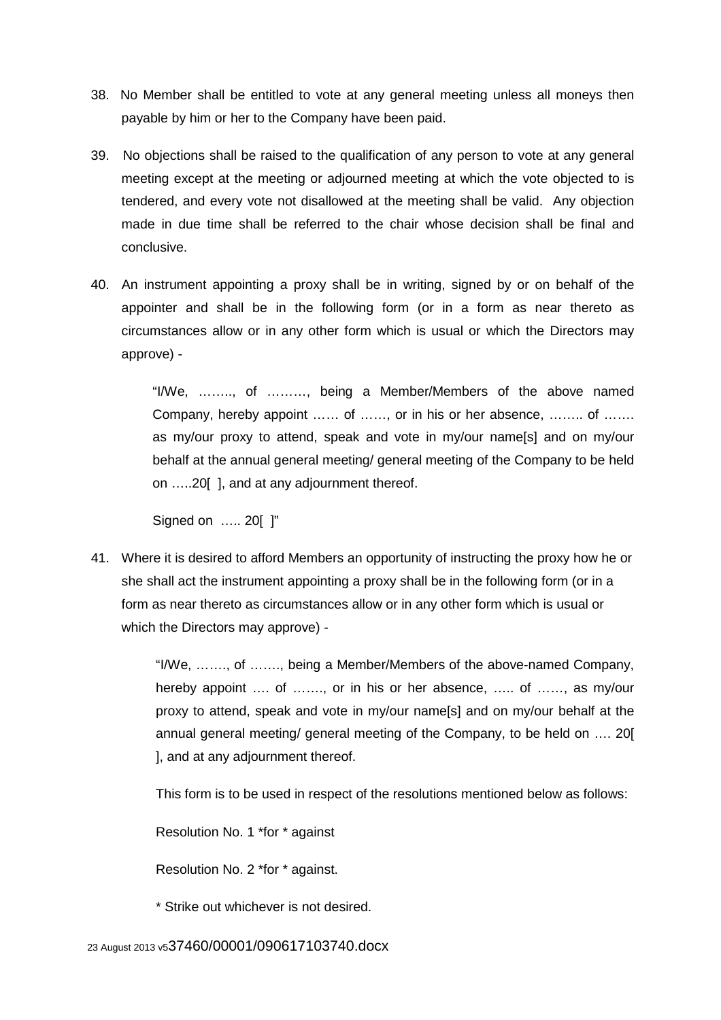- 38. No Member shall be entitled to vote at any general meeting unless all moneys then payable by him or her to the Company have been paid.
- 39. No objections shall be raised to the qualification of any person to vote at any general meeting except at the meeting or adjourned meeting at which the vote objected to is tendered, and every vote not disallowed at the meeting shall be valid. Any objection made in due time shall be referred to the chair whose decision shall be final and conclusive.
- 40. An instrument appointing a proxy shall be in writing, signed by or on behalf of the appointer and shall be in the following form (or in a form as near thereto as circumstances allow or in any other form which is usual or which the Directors may approve) -

"I/We, …….., of ………, being a Member/Members of the above named Company, hereby appoint …… of ……, or in his or her absence, …….. of ……. as my/our proxy to attend, speak and vote in my/our name[s] and on my/our behalf at the annual general meeting/ general meeting of the Company to be held on …..20[ ], and at any adjournment thereof.

Signed on ….. 20[ ]"

 41. Where it is desired to afford Members an opportunity of instructing the proxy how he or she shall act the instrument appointing a proxy shall be in the following form (or in a form as near thereto as circumstances allow or in any other form which is usual or which the Directors may approve) -

> "I/We, ……., of ……., being a Member/Members of the above-named Company, hereby appoint .... of ......., or in his or her absence, ..... of ......, as my/our proxy to attend, speak and vote in my/our name[s] and on my/our behalf at the annual general meeting/ general meeting of the Company, to be held on …. 20[ ], and at any adjournment thereof.

This form is to be used in respect of the resolutions mentioned below as follows:

Resolution No. 1 \*for \* against

Resolution No. 2 \*for \* against.

\* Strike out whichever is not desired.

23 August 2013 v537460/00001/090617103740.docx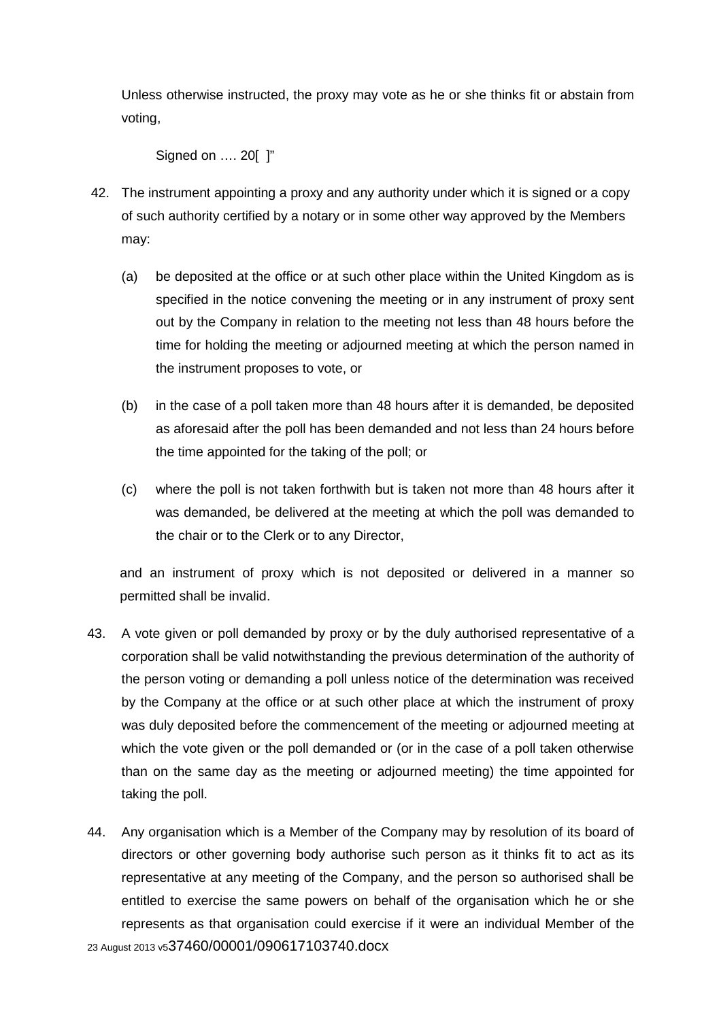Unless otherwise instructed, the proxy may vote as he or she thinks fit or abstain from voting,

Signed on …. 20[ ]"

- 42. The instrument appointing a proxy and any authority under which it is signed or a copy of such authority certified by a notary or in some other way approved by the Members may:
	- (a) be deposited at the office or at such other place within the United Kingdom as is specified in the notice convening the meeting or in any instrument of proxy sent out by the Company in relation to the meeting not less than 48 hours before the time for holding the meeting or adjourned meeting at which the person named in the instrument proposes to vote, or
	- (b) in the case of a poll taken more than 48 hours after it is demanded, be deposited as aforesaid after the poll has been demanded and not less than 24 hours before the time appointed for the taking of the poll; or
	- (c) where the poll is not taken forthwith but is taken not more than 48 hours after it was demanded, be delivered at the meeting at which the poll was demanded to the chair or to the Clerk or to any Director,

and an instrument of proxy which is not deposited or delivered in a manner so permitted shall be invalid.

- 43. A vote given or poll demanded by proxy or by the duly authorised representative of a corporation shall be valid notwithstanding the previous determination of the authority of the person voting or demanding a poll unless notice of the determination was received by the Company at the office or at such other place at which the instrument of proxy was duly deposited before the commencement of the meeting or adjourned meeting at which the vote given or the poll demanded or (or in the case of a poll taken otherwise than on the same day as the meeting or adjourned meeting) the time appointed for taking the poll.
- 23 August 2013 v537460/00001/090617103740.docx 44. Any organisation which is a Member of the Company may by resolution of its board of directors or other governing body authorise such person as it thinks fit to act as its representative at any meeting of the Company, and the person so authorised shall be entitled to exercise the same powers on behalf of the organisation which he or she represents as that organisation could exercise if it were an individual Member of the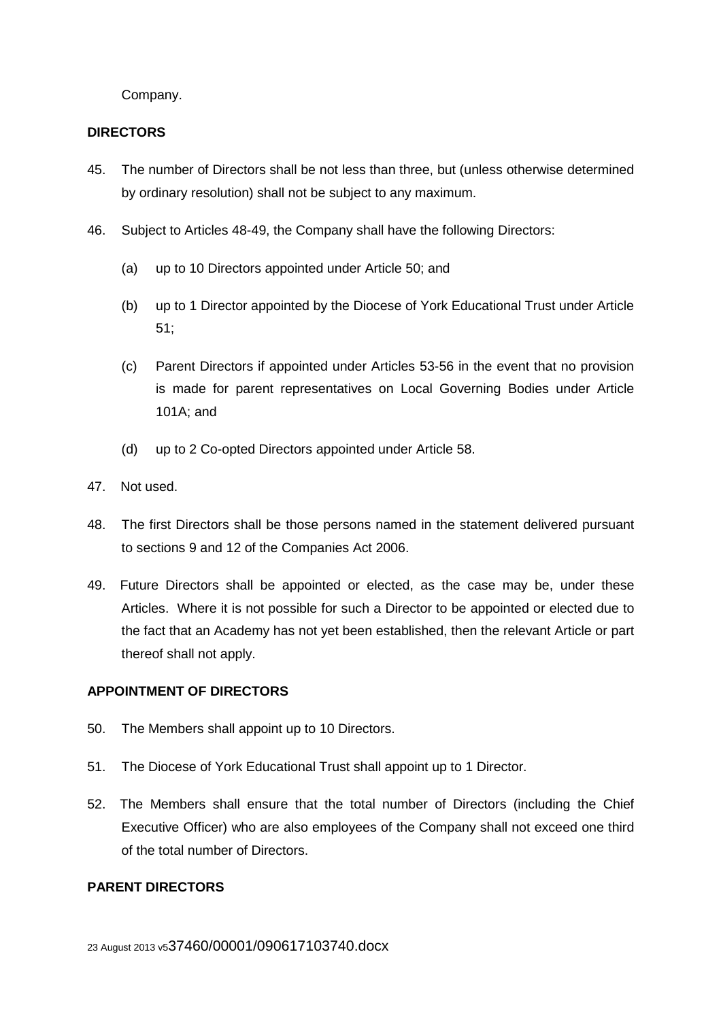Company.

## **DIRECTORS**

- 45. The number of Directors shall be not less than three, but (unless otherwise determined by ordinary resolution) shall not be subject to any maximum.
- 46. Subject to Articles 48-49, the Company shall have the following Directors:
	- (a) up to 10 Directors appointed under Article 50; and
	- (b) up to 1 Director appointed by the Diocese of York Educational Trust under Article 51;
	- (c) Parent Directors if appointed under Articles 53-56 in the event that no provision is made for parent representatives on Local Governing Bodies under Article 101A; and
	- (d) up to 2 Co-opted Directors appointed under Article 58.
- 47. Not used.
- 48. The first Directors shall be those persons named in the statement delivered pursuant to sections 9 and 12 of the Companies Act 2006.
- 49. Future Directors shall be appointed or elected, as the case may be, under these Articles. Where it is not possible for such a Director to be appointed or elected due to the fact that an Academy has not yet been established, then the relevant Article or part thereof shall not apply.

# **APPOINTMENT OF DIRECTORS**

- 50. The Members shall appoint up to 10 Directors.
- 51. The Diocese of York Educational Trust shall appoint up to 1 Director.
- 52. The Members shall ensure that the total number of Directors (including the Chief Executive Officer) who are also employees of the Company shall not exceed one third of the total number of Directors.

# **PARENT DIRECTORS**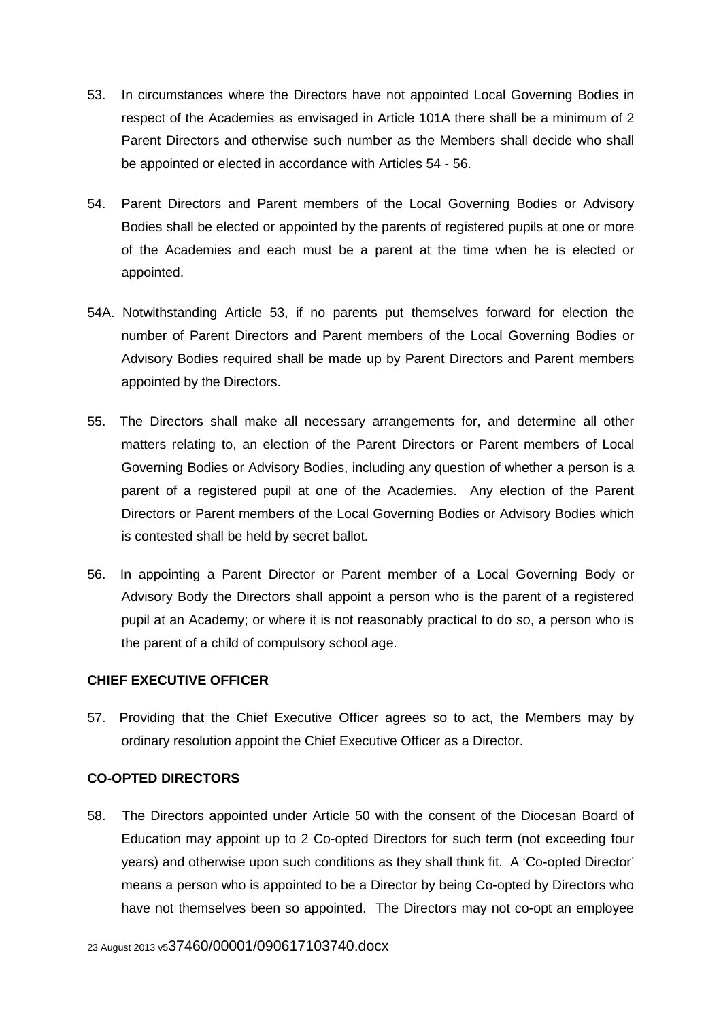- 53. In circumstances where the Directors have not appointed Local Governing Bodies in respect of the Academies as envisaged in Article 101A there shall be a minimum of 2 Parent Directors and otherwise such number as the Members shall decide who shall be appointed or elected in accordance with Articles 54 - 56.
- 54. Parent Directors and Parent members of the Local Governing Bodies or Advisory Bodies shall be elected or appointed by the parents of registered pupils at one or more of the Academies and each must be a parent at the time when he is elected or appointed.
- 54A. Notwithstanding Article 53, if no parents put themselves forward for election the number of Parent Directors and Parent members of the Local Governing Bodies or Advisory Bodies required shall be made up by Parent Directors and Parent members appointed by the Directors.
- 55. The Directors shall make all necessary arrangements for, and determine all other matters relating to, an election of the Parent Directors or Parent members of Local Governing Bodies or Advisory Bodies, including any question of whether a person is a parent of a registered pupil at one of the Academies. Any election of the Parent Directors or Parent members of the Local Governing Bodies or Advisory Bodies which is contested shall be held by secret ballot.
- 56. In appointing a Parent Director or Parent member of a Local Governing Body or Advisory Body the Directors shall appoint a person who is the parent of a registered pupil at an Academy; or where it is not reasonably practical to do so, a person who is the parent of a child of compulsory school age.

## **CHIEF EXECUTIVE OFFICER**

57. Providing that the Chief Executive Officer agrees so to act, the Members may by ordinary resolution appoint the Chief Executive Officer as a Director.

# **CO-OPTED DIRECTORS**

58. The Directors appointed under Article 50 with the consent of the Diocesan Board of Education may appoint up to 2 Co-opted Directors for such term (not exceeding four years) and otherwise upon such conditions as they shall think fit. A 'Co-opted Director' means a person who is appointed to be a Director by being Co-opted by Directors who have not themselves been so appointed. The Directors may not co-opt an employee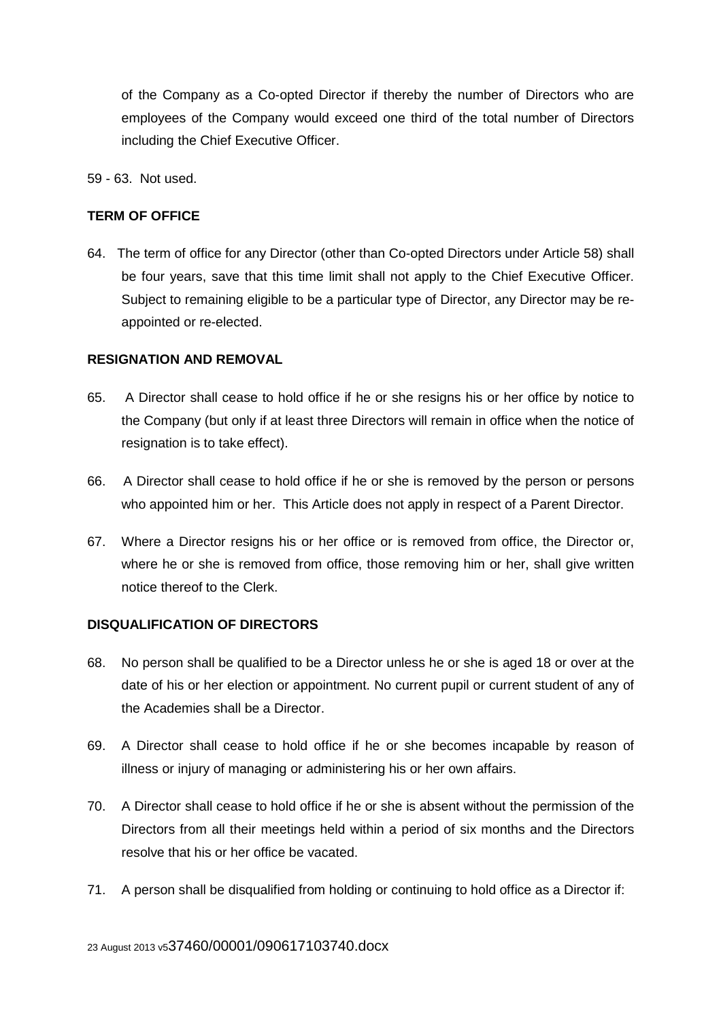of the Company as a Co-opted Director if thereby the number of Directors who are employees of the Company would exceed one third of the total number of Directors including the Chief Executive Officer.

59 - 63. Not used.

## **TERM OF OFFICE**

64. The term of office for any Director (other than Co-opted Directors under Article 58) shall be four years, save that this time limit shall not apply to the Chief Executive Officer. Subject to remaining eligible to be a particular type of Director, any Director may be reappointed or re-elected.

## **RESIGNATION AND REMOVAL**

- 65. A Director shall cease to hold office if he or she resigns his or her office by notice to the Company (but only if at least three Directors will remain in office when the notice of resignation is to take effect).
- 66. A Director shall cease to hold office if he or she is removed by the person or persons who appointed him or her. This Article does not apply in respect of a Parent Director.
- 67. Where a Director resigns his or her office or is removed from office, the Director or, where he or she is removed from office, those removing him or her, shall give written notice thereof to the Clerk.

## **DISQUALIFICATION OF DIRECTORS**

- 68. No person shall be qualified to be a Director unless he or she is aged 18 or over at the date of his or her election or appointment. No current pupil or current student of any of the Academies shall be a Director.
- 69. A Director shall cease to hold office if he or she becomes incapable by reason of illness or injury of managing or administering his or her own affairs.
- 70. A Director shall cease to hold office if he or she is absent without the permission of the Directors from all their meetings held within a period of six months and the Directors resolve that his or her office be vacated.
- 71. A person shall be disqualified from holding or continuing to hold office as a Director if: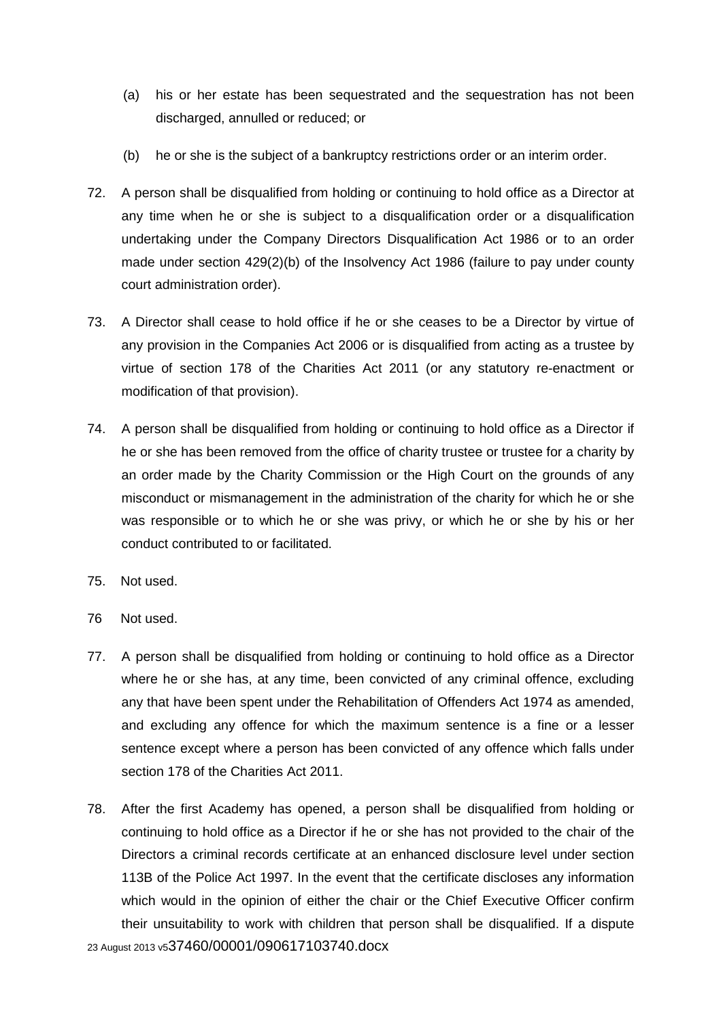- (a) his or her estate has been sequestrated and the sequestration has not been discharged, annulled or reduced; or
- (b) he or she is the subject of a bankruptcy restrictions order or an interim order.
- 72. A person shall be disqualified from holding or continuing to hold office as a Director at any time when he or she is subject to a disqualification order or a disqualification undertaking under the Company Directors Disqualification Act 1986 or to an order made under section 429(2)(b) of the Insolvency Act 1986 (failure to pay under county court administration order).
- 73. A Director shall cease to hold office if he or she ceases to be a Director by virtue of any provision in the Companies Act 2006 or is disqualified from acting as a trustee by virtue of section 178 of the Charities Act 2011 (or any statutory re-enactment or modification of that provision).
- 74. A person shall be disqualified from holding or continuing to hold office as a Director if he or she has been removed from the office of charity trustee or trustee for a charity by an order made by the Charity Commission or the High Court on the grounds of any misconduct or mismanagement in the administration of the charity for which he or she was responsible or to which he or she was privy, or which he or she by his or her conduct contributed to or facilitated.
- 75. Not used.
- 76 Not used.
- 77. A person shall be disqualified from holding or continuing to hold office as a Director where he or she has, at any time, been convicted of any criminal offence, excluding any that have been spent under the Rehabilitation of Offenders Act 1974 as amended, and excluding any offence for which the maximum sentence is a fine or a lesser sentence except where a person has been convicted of any offence which falls under section 178 of the Charities Act 2011.
- 23 August 2013 v537460/00001/090617103740.docx 78. After the first Academy has opened, a person shall be disqualified from holding or continuing to hold office as a Director if he or she has not provided to the chair of the Directors a criminal records certificate at an enhanced disclosure level under section 113B of the Police Act 1997. In the event that the certificate discloses any information which would in the opinion of either the chair or the Chief Executive Officer confirm their unsuitability to work with children that person shall be disqualified. If a dispute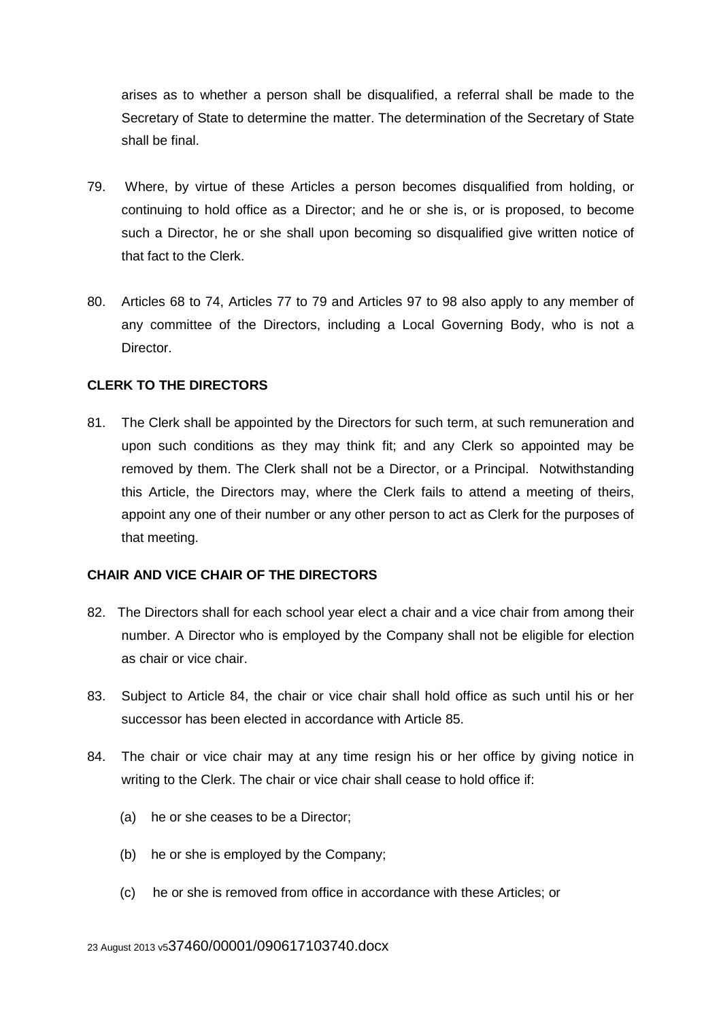arises as to whether a person shall be disqualified, a referral shall be made to the Secretary of State to determine the matter. The determination of the Secretary of State shall be final.

- 79. Where, by virtue of these Articles a person becomes disqualified from holding, or continuing to hold office as a Director; and he or she is, or is proposed, to become such a Director, he or she shall upon becoming so disqualified give written notice of that fact to the Clerk.
- 80. Articles 68 to 74, Articles 77 to 79 and Articles 97 to 98 also apply to any member of any committee of the Directors, including a Local Governing Body, who is not a Director.

## **CLERK TO THE DIRECTORS**

81. The Clerk shall be appointed by the Directors for such term, at such remuneration and upon such conditions as they may think fit; and any Clerk so appointed may be removed by them. The Clerk shall not be a Director, or a Principal. Notwithstanding this Article, the Directors may, where the Clerk fails to attend a meeting of theirs, appoint any one of their number or any other person to act as Clerk for the purposes of that meeting.

## **CHAIR AND VICE CHAIR OF THE DIRECTORS**

- 82. The Directors shall for each school year elect a chair and a vice chair from among their number. A Director who is employed by the Company shall not be eligible for election as chair or vice chair.
- 83. Subject to Article 84, the chair or vice chair shall hold office as such until his or her successor has been elected in accordance with Article 85.
- 84. The chair or vice chair may at any time resign his or her office by giving notice in writing to the Clerk. The chair or vice chair shall cease to hold office if:
	- (a) he or she ceases to be a Director;
	- (b) he or she is employed by the Company;
	- (c) he or she is removed from office in accordance with these Articles; or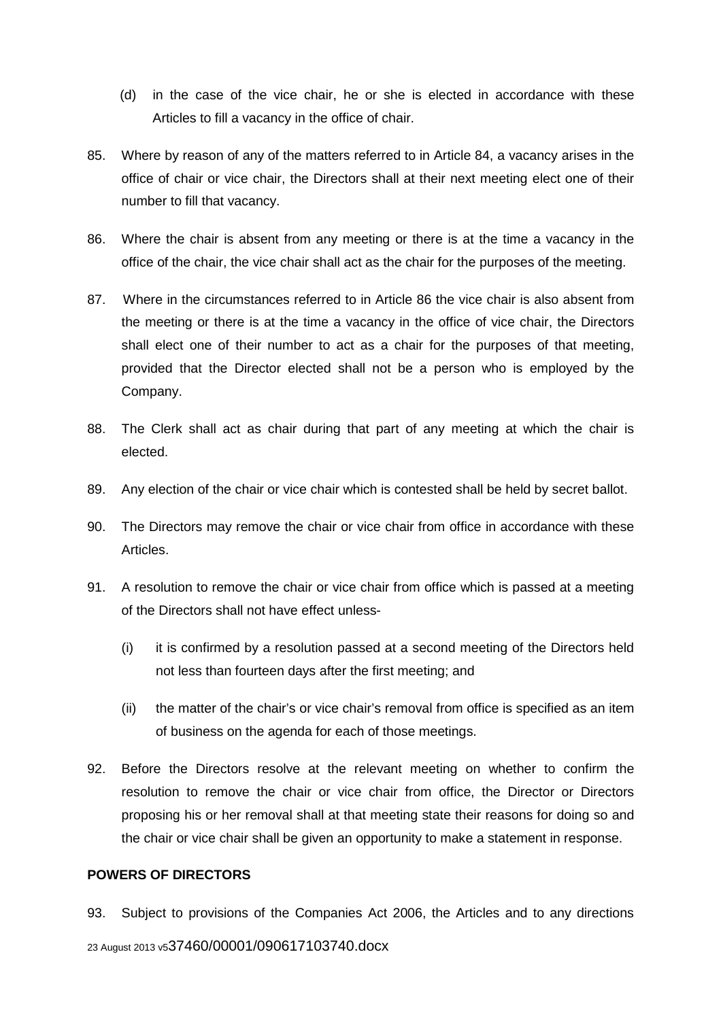- (d) in the case of the vice chair, he or she is elected in accordance with these Articles to fill a vacancy in the office of chair.
- 85. Where by reason of any of the matters referred to in Article 84, a vacancy arises in the office of chair or vice chair, the Directors shall at their next meeting elect one of their number to fill that vacancy.
- 86. Where the chair is absent from any meeting or there is at the time a vacancy in the office of the chair, the vice chair shall act as the chair for the purposes of the meeting.
- 87. Where in the circumstances referred to in Article 86 the vice chair is also absent from the meeting or there is at the time a vacancy in the office of vice chair, the Directors shall elect one of their number to act as a chair for the purposes of that meeting, provided that the Director elected shall not be a person who is employed by the Company.
- 88. The Clerk shall act as chair during that part of any meeting at which the chair is elected.
- 89. Any election of the chair or vice chair which is contested shall be held by secret ballot.
- 90. The Directors may remove the chair or vice chair from office in accordance with these Articles.
- 91. A resolution to remove the chair or vice chair from office which is passed at a meeting of the Directors shall not have effect unless-
	- (i) it is confirmed by a resolution passed at a second meeting of the Directors held not less than fourteen days after the first meeting; and
	- (ii) the matter of the chair's or vice chair's removal from office is specified as an item of business on the agenda for each of those meetings.
- 92. Before the Directors resolve at the relevant meeting on whether to confirm the resolution to remove the chair or vice chair from office, the Director or Directors proposing his or her removal shall at that meeting state their reasons for doing so and the chair or vice chair shall be given an opportunity to make a statement in response.

# **POWERS OF DIRECTORS**

23 August 2013 v537460/00001/090617103740.docx 93. Subject to provisions of the Companies Act 2006, the Articles and to any directions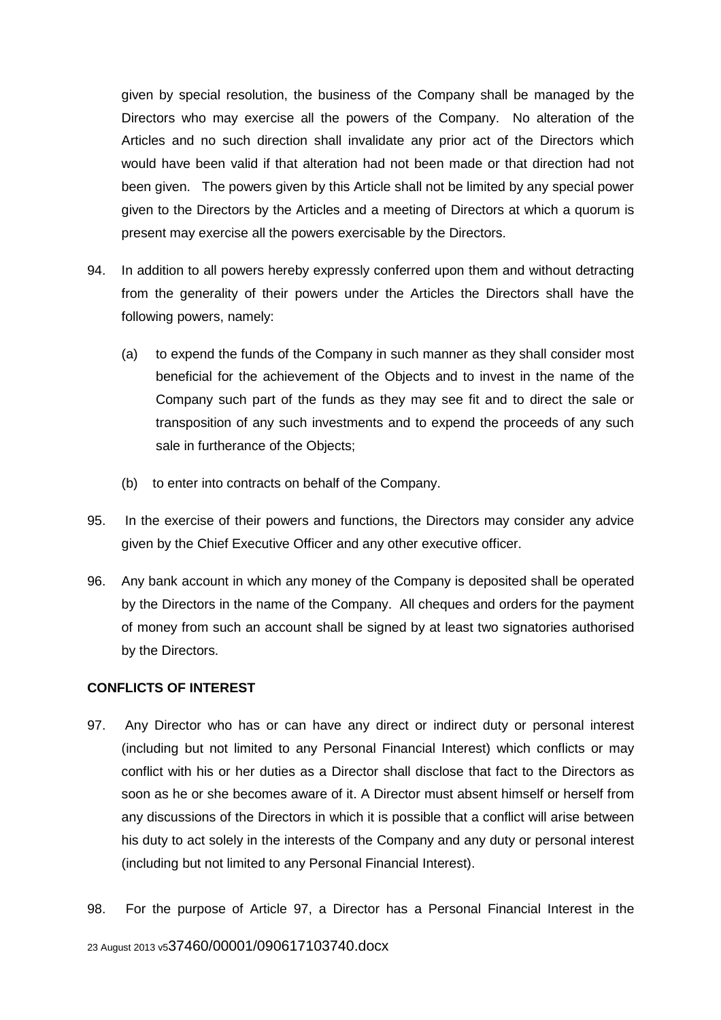given by special resolution, the business of the Company shall be managed by the Directors who may exercise all the powers of the Company. No alteration of the Articles and no such direction shall invalidate any prior act of the Directors which would have been valid if that alteration had not been made or that direction had not been given. The powers given by this Article shall not be limited by any special power given to the Directors by the Articles and a meeting of Directors at which a quorum is present may exercise all the powers exercisable by the Directors.

- 94. In addition to all powers hereby expressly conferred upon them and without detracting from the generality of their powers under the Articles the Directors shall have the following powers, namely:
	- (a) to expend the funds of the Company in such manner as they shall consider most beneficial for the achievement of the Objects and to invest in the name of the Company such part of the funds as they may see fit and to direct the sale or transposition of any such investments and to expend the proceeds of any such sale in furtherance of the Objects:
	- (b) to enter into contracts on behalf of the Company.
- 95. In the exercise of their powers and functions, the Directors may consider any advice given by the Chief Executive Officer and any other executive officer.
- 96. Any bank account in which any money of the Company is deposited shall be operated by the Directors in the name of the Company. All cheques and orders for the payment of money from such an account shall be signed by at least two signatories authorised by the Directors.

## **CONFLICTS OF INTEREST**

- 97. Any Director who has or can have any direct or indirect duty or personal interest (including but not limited to any Personal Financial Interest) which conflicts or may conflict with his or her duties as a Director shall disclose that fact to the Directors as soon as he or she becomes aware of it. A Director must absent himself or herself from any discussions of the Directors in which it is possible that a conflict will arise between his duty to act solely in the interests of the Company and any duty or personal interest (including but not limited to any Personal Financial Interest).
- 98. For the purpose of Article 97, a Director has a Personal Financial Interest in the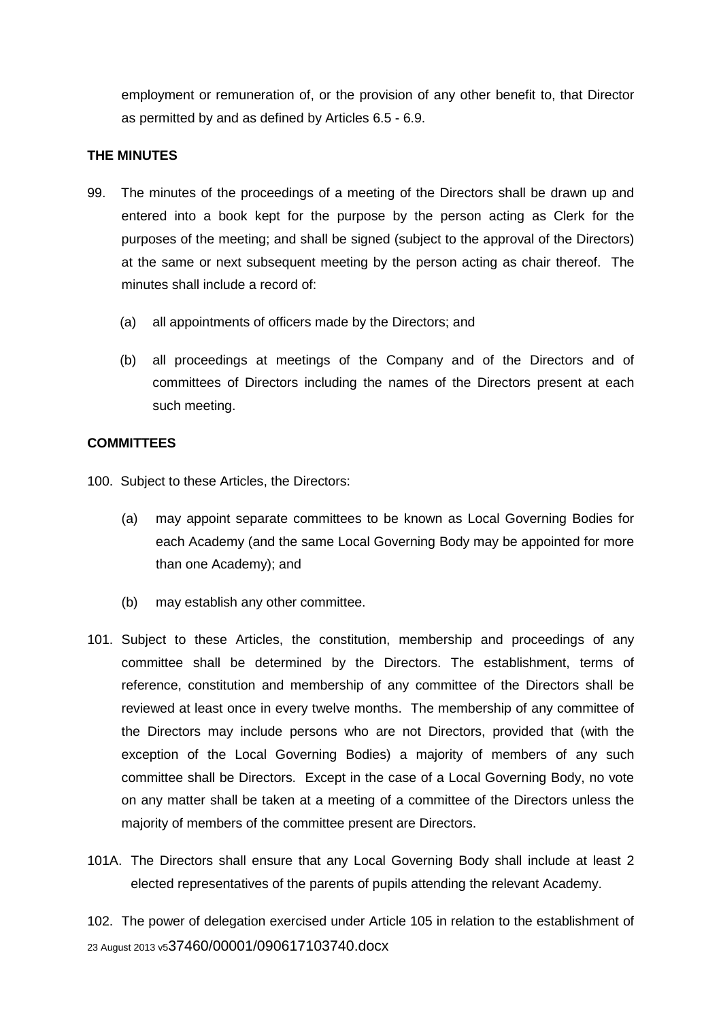employment or remuneration of, or the provision of any other benefit to, that Director as permitted by and as defined by Articles 6.5 - 6.9.

## **THE MINUTES**

- 99. The minutes of the proceedings of a meeting of the Directors shall be drawn up and entered into a book kept for the purpose by the person acting as Clerk for the purposes of the meeting; and shall be signed (subject to the approval of the Directors) at the same or next subsequent meeting by the person acting as chair thereof. The minutes shall include a record of:
	- (a) all appointments of officers made by the Directors; and
	- (b) all proceedings at meetings of the Company and of the Directors and of committees of Directors including the names of the Directors present at each such meeting.

## **COMMITTEES**

- 100. Subject to these Articles, the Directors:
	- (a) may appoint separate committees to be known as Local Governing Bodies for each Academy (and the same Local Governing Body may be appointed for more than one Academy); and
	- (b) may establish any other committee.
- 101. Subject to these Articles, the constitution, membership and proceedings of any committee shall be determined by the Directors. The establishment, terms of reference, constitution and membership of any committee of the Directors shall be reviewed at least once in every twelve months. The membership of any committee of the Directors may include persons who are not Directors, provided that (with the exception of the Local Governing Bodies) a majority of members of any such committee shall be Directors. Except in the case of a Local Governing Body, no vote on any matter shall be taken at a meeting of a committee of the Directors unless the majority of members of the committee present are Directors.
- 101A. The Directors shall ensure that any Local Governing Body shall include at least 2 elected representatives of the parents of pupils attending the relevant Academy.

23 August 2013 v537460/00001/090617103740.docx 102. The power of delegation exercised under Article 105 in relation to the establishment of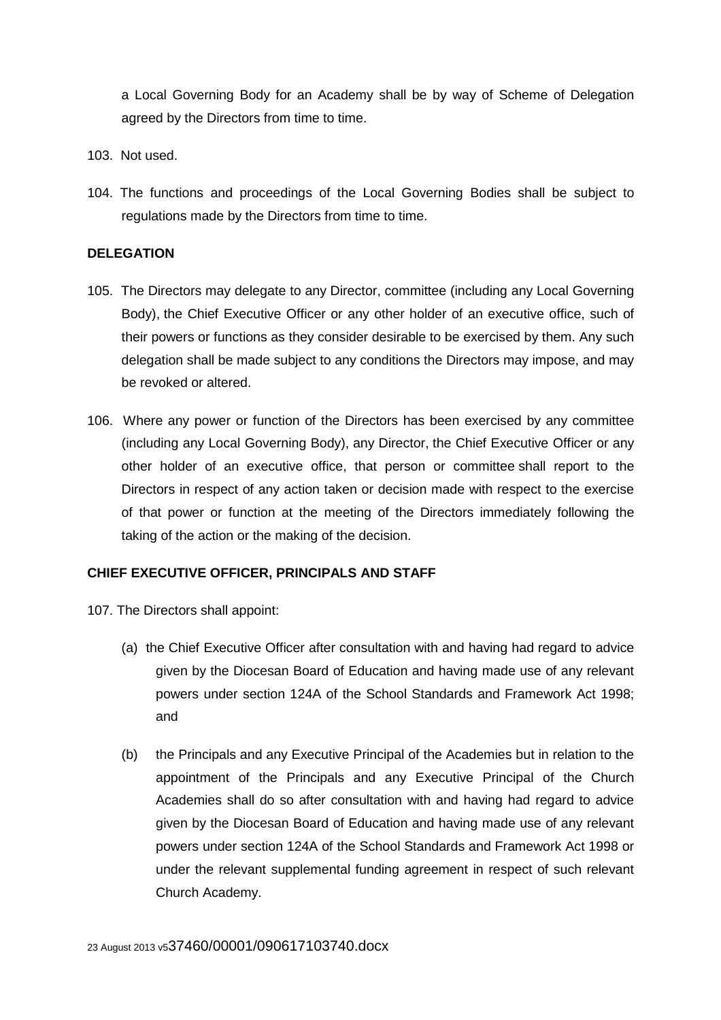a Local Governing Body for an Academy shall be by way of Scheme of Delegation agreed by the Directors from time to time.

- 103. Not used.
- 104. The functions and proceedings of the Local Governing Bodies shall be subject to regulations made by the Directors from time to time.

#### **DELEGATION**

- 105. The Directors may delegate to any Director, committee (including any Local Governing Body), the Chief Executive Officer or any other holder of an executive office, such of their powers or functions as they consider desirable to be exercised by them. Any such delegation shall be made subject to any conditions the Directors may impose, and may be revoked or altered.
- 106. Where any power or function of the Directors has been exercised by any committee (including any Local Governing Body), any Director, the Chief Executive Officer or any other holder of an executive office, that person or committee shall report to the Directors in respect of any action taken or decision made with respect to the exercise of that power or function at the meeting of the Directors immediately following the taking of the action or the making of the decision.

## **CHIEF EXECUTIVE OFFICER, PRINCIPALS AND STAFF**

107. The Directors shall appoint:

- (a) the Chief Executive Officer after consultation with and having had regard to advice given by the Diocesan Board of Education and having made use of any relevant powers under section 124A of the School Standards and Framework Act 1998; and
- (b) the Principals and any Executive Principal of the Academies but in relation to the appointment of the Principals and any Executive Principal of the Church Academies shall do so after consultation with and having had regard to advice given by the Diocesan Board of Education and having made use of any relevant powers under section 124A of the School Standards and Framework Act 1998 or under the relevant supplemental funding agreement in respect of such relevant Church Academy.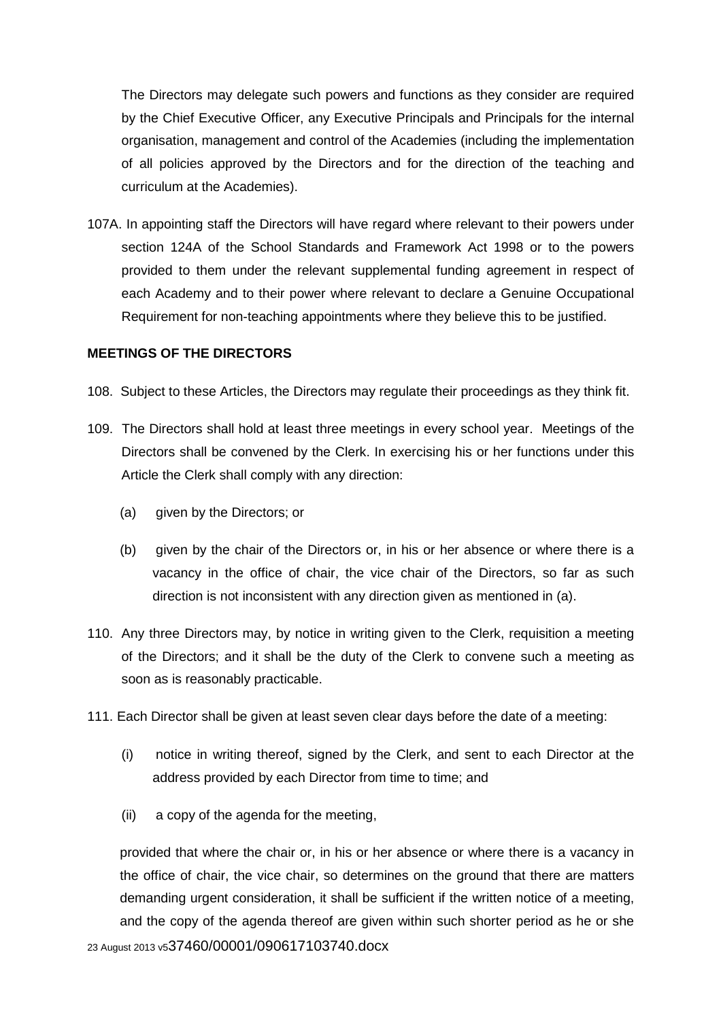The Directors may delegate such powers and functions as they consider are required by the Chief Executive Officer, any Executive Principals and Principals for the internal organisation, management and control of the Academies (including the implementation of all policies approved by the Directors and for the direction of the teaching and curriculum at the Academies).

107A. In appointing staff the Directors will have regard where relevant to their powers under section 124A of the School Standards and Framework Act 1998 or to the powers provided to them under the relevant supplemental funding agreement in respect of each Academy and to their power where relevant to declare a Genuine Occupational Requirement for non-teaching appointments where they believe this to be justified.

#### **MEETINGS OF THE DIRECTORS**

- 108. Subject to these Articles, the Directors may regulate their proceedings as they think fit.
- 109. The Directors shall hold at least three meetings in every school year. Meetings of the Directors shall be convened by the Clerk. In exercising his or her functions under this Article the Clerk shall comply with any direction:
	- (a) given by the Directors; or
	- (b) given by the chair of the Directors or, in his or her absence or where there is a vacancy in the office of chair, the vice chair of the Directors, so far as such direction is not inconsistent with any direction given as mentioned in (a).
- 110. Any three Directors may, by notice in writing given to the Clerk, requisition a meeting of the Directors; and it shall be the duty of the Clerk to convene such a meeting as soon as is reasonably practicable.
- 111. Each Director shall be given at least seven clear days before the date of a meeting:
	- (i) notice in writing thereof, signed by the Clerk, and sent to each Director at the address provided by each Director from time to time; and
	- (ii) a copy of the agenda for the meeting,

provided that where the chair or, in his or her absence or where there is a vacancy in the office of chair, the vice chair, so determines on the ground that there are matters demanding urgent consideration, it shall be sufficient if the written notice of a meeting, and the copy of the agenda thereof are given within such shorter period as he or she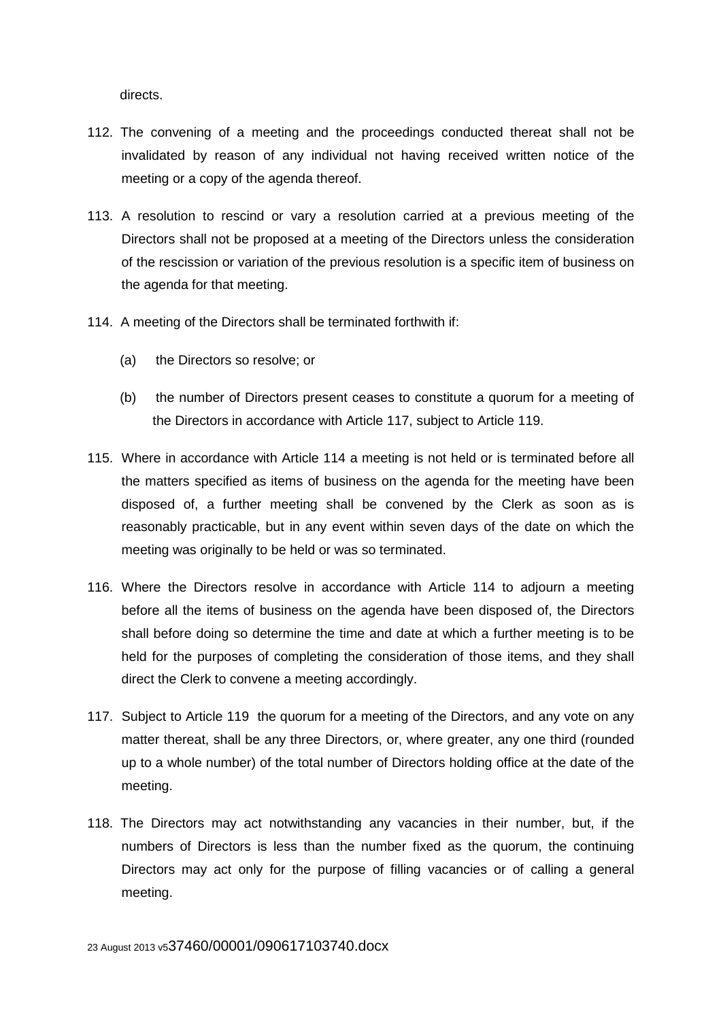directs.

- 112. The convening of a meeting and the proceedings conducted thereat shall not be invalidated by reason of any individual not having received written notice of the meeting or a copy of the agenda thereof.
- 113. A resolution to rescind or vary a resolution carried at a previous meeting of the Directors shall not be proposed at a meeting of the Directors unless the consideration of the rescission or variation of the previous resolution is a specific item of business on the agenda for that meeting.
- 114. A meeting of the Directors shall be terminated forthwith if:
	- (a) the Directors so resolve; or
	- (b) the number of Directors present ceases to constitute a quorum for a meeting of the Directors in accordance with Article 117, subject to Article 119.
- 115. Where in accordance with Article 114 a meeting is not held or is terminated before all the matters specified as items of business on the agenda for the meeting have been disposed of, a further meeting shall be convened by the Clerk as soon as is reasonably practicable, but in any event within seven days of the date on which the meeting was originally to be held or was so terminated.
- 116. Where the Directors resolve in accordance with Article 114 to adjourn a meeting before all the items of business on the agenda have been disposed of, the Directors shall before doing so determine the time and date at which a further meeting is to be held for the purposes of completing the consideration of those items, and they shall direct the Clerk to convene a meeting accordingly.
- 117. Subject to Article 119 the quorum for a meeting of the Directors, and any vote on any matter thereat, shall be any three Directors, or, where greater, any one third (rounded up to a whole number) of the total number of Directors holding office at the date of the meeting.
- 118. The Directors may act notwithstanding any vacancies in their number, but, if the numbers of Directors is less than the number fixed as the quorum, the continuing Directors may act only for the purpose of filling vacancies or of calling a general meeting.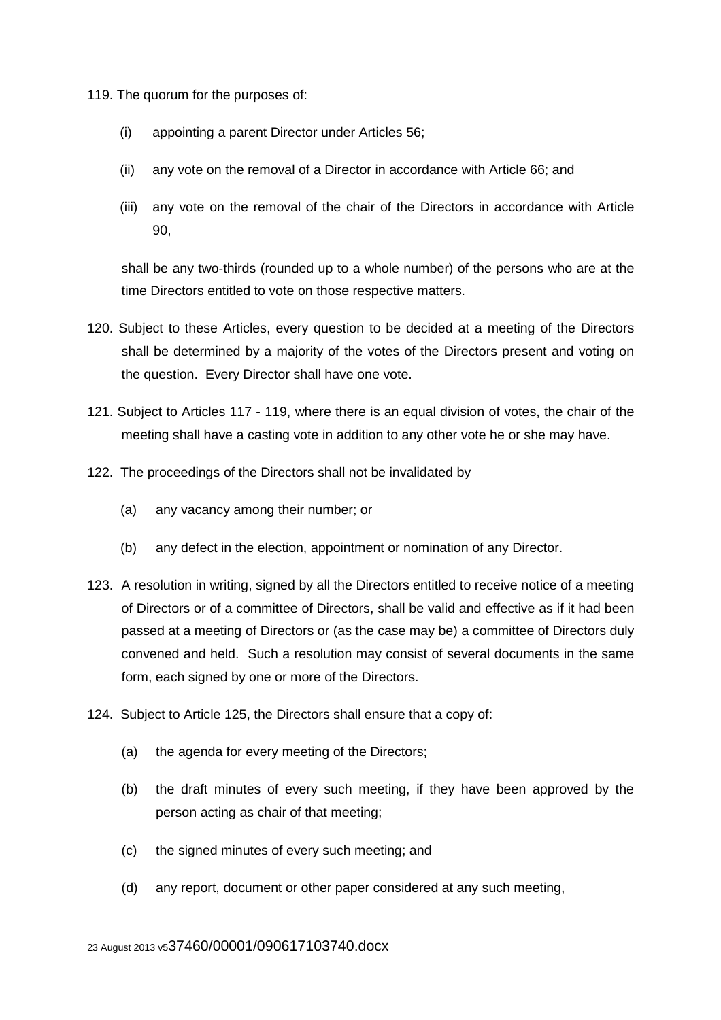119. The quorum for the purposes of:

- (i) appointing a parent Director under Articles 56;
- (ii) any vote on the removal of a Director in accordance with Article 66; and
- (iii) any vote on the removal of the chair of the Directors in accordance with Article 90,

shall be any two-thirds (rounded up to a whole number) of the persons who are at the time Directors entitled to vote on those respective matters.

- 120. Subject to these Articles, every question to be decided at a meeting of the Directors shall be determined by a majority of the votes of the Directors present and voting on the question. Every Director shall have one vote.
- 121. Subject to Articles 117 119, where there is an equal division of votes, the chair of the meeting shall have a casting vote in addition to any other vote he or she may have.
- 122. The proceedings of the Directors shall not be invalidated by
	- (a) any vacancy among their number; or
	- (b) any defect in the election, appointment or nomination of any Director.
- 123. A resolution in writing, signed by all the Directors entitled to receive notice of a meeting of Directors or of a committee of Directors, shall be valid and effective as if it had been passed at a meeting of Directors or (as the case may be) a committee of Directors duly convened and held. Such a resolution may consist of several documents in the same form, each signed by one or more of the Directors.
- 124. Subject to Article 125, the Directors shall ensure that a copy of:
	- (a) the agenda for every meeting of the Directors;
	- (b) the draft minutes of every such meeting, if they have been approved by the person acting as chair of that meeting;
	- (c) the signed minutes of every such meeting; and
	- (d) any report, document or other paper considered at any such meeting,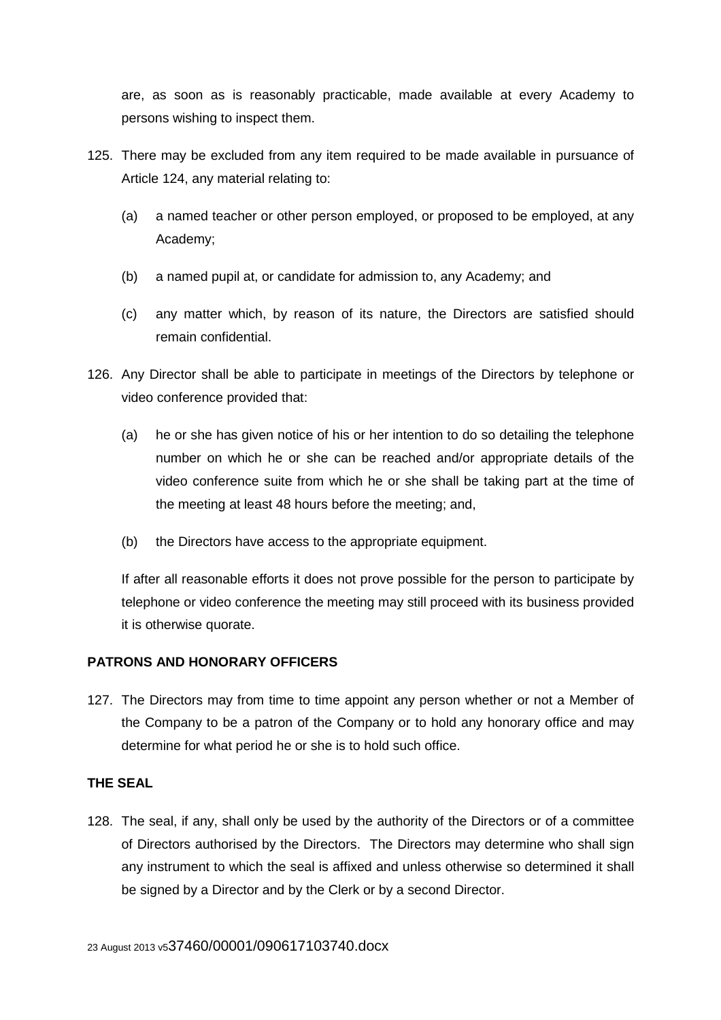are, as soon as is reasonably practicable, made available at every Academy to persons wishing to inspect them.

- 125. There may be excluded from any item required to be made available in pursuance of Article 124, any material relating to:
	- (a) a named teacher or other person employed, or proposed to be employed, at any Academy;
	- (b) a named pupil at, or candidate for admission to, any Academy; and
	- (c) any matter which, by reason of its nature, the Directors are satisfied should remain confidential.
- 126. Any Director shall be able to participate in meetings of the Directors by telephone or video conference provided that:
	- (a) he or she has given notice of his or her intention to do so detailing the telephone number on which he or she can be reached and/or appropriate details of the video conference suite from which he or she shall be taking part at the time of the meeting at least 48 hours before the meeting; and,
	- (b) the Directors have access to the appropriate equipment.

If after all reasonable efforts it does not prove possible for the person to participate by telephone or video conference the meeting may still proceed with its business provided it is otherwise quorate.

# **PATRONS AND HONORARY OFFICERS**

127. The Directors may from time to time appoint any person whether or not a Member of the Company to be a patron of the Company or to hold any honorary office and may determine for what period he or she is to hold such office.

# **THE SEAL**

128. The seal, if any, shall only be used by the authority of the Directors or of a committee of Directors authorised by the Directors. The Directors may determine who shall sign any instrument to which the seal is affixed and unless otherwise so determined it shall be signed by a Director and by the Clerk or by a second Director.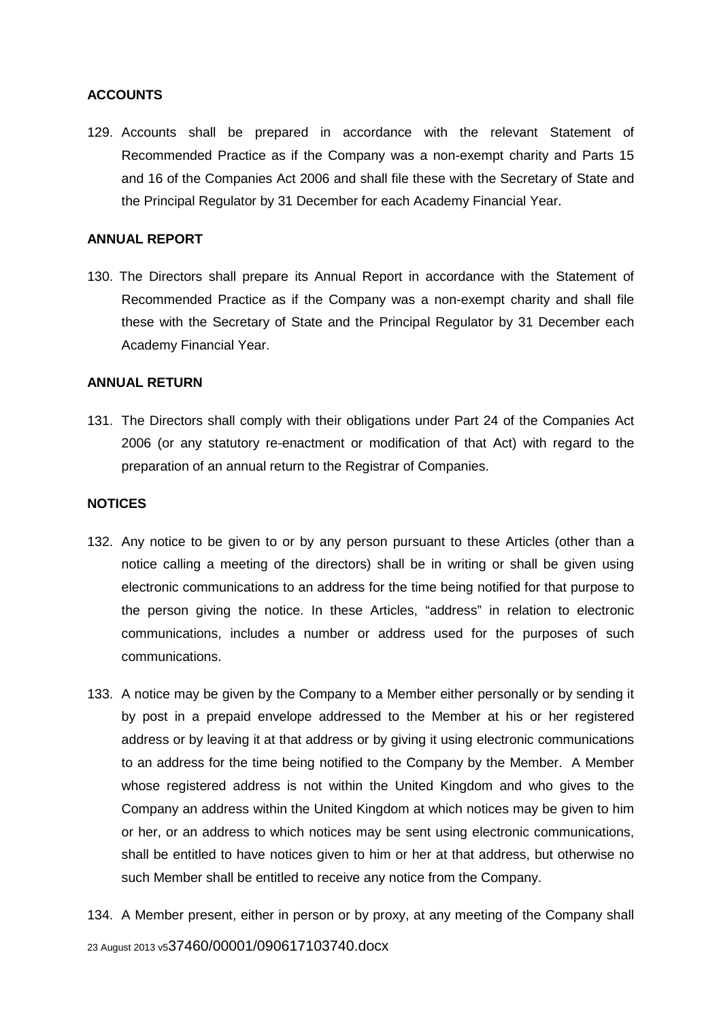## **ACCOUNTS**

129. Accounts shall be prepared in accordance with the relevant Statement of Recommended Practice as if the Company was a non-exempt charity and Parts 15 and 16 of the Companies Act 2006 and shall file these with the Secretary of State and the Principal Regulator by 31 December for each Academy Financial Year.

#### **ANNUAL REPORT**

130. The Directors shall prepare its Annual Report in accordance with the Statement of Recommended Practice as if the Company was a non-exempt charity and shall file these with the Secretary of State and the Principal Regulator by 31 December each Academy Financial Year.

## **ANNUAL RETURN**

131. The Directors shall comply with their obligations under Part 24 of the Companies Act 2006 (or any statutory re-enactment or modification of that Act) with regard to the preparation of an annual return to the Registrar of Companies.

#### **NOTICES**

- 132. Any notice to be given to or by any person pursuant to these Articles (other than a notice calling a meeting of the directors) shall be in writing or shall be given using electronic communications to an address for the time being notified for that purpose to the person giving the notice. In these Articles, "address" in relation to electronic communications, includes a number or address used for the purposes of such communications.
- 133. A notice may be given by the Company to a Member either personally or by sending it by post in a prepaid envelope addressed to the Member at his or her registered address or by leaving it at that address or by giving it using electronic communications to an address for the time being notified to the Company by the Member. A Member whose registered address is not within the United Kingdom and who gives to the Company an address within the United Kingdom at which notices may be given to him or her, or an address to which notices may be sent using electronic communications, shall be entitled to have notices given to him or her at that address, but otherwise no such Member shall be entitled to receive any notice from the Company.
- 23 August 2013 v537460/00001/090617103740.docx 134. A Member present, either in person or by proxy, at any meeting of the Company shall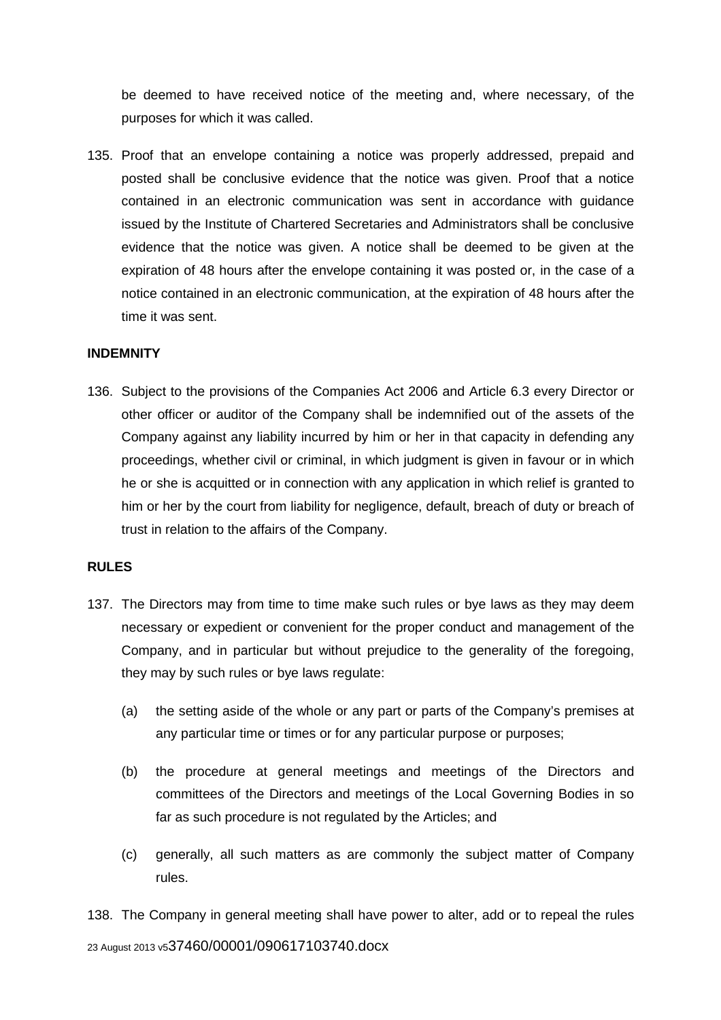be deemed to have received notice of the meeting and, where necessary, of the purposes for which it was called.

135. Proof that an envelope containing a notice was properly addressed, prepaid and posted shall be conclusive evidence that the notice was given. Proof that a notice contained in an electronic communication was sent in accordance with guidance issued by the Institute of Chartered Secretaries and Administrators shall be conclusive evidence that the notice was given. A notice shall be deemed to be given at the expiration of 48 hours after the envelope containing it was posted or, in the case of a notice contained in an electronic communication, at the expiration of 48 hours after the time it was sent.

#### **INDEMNITY**

136. Subject to the provisions of the Companies Act 2006 and Article 6.3 every Director or other officer or auditor of the Company shall be indemnified out of the assets of the Company against any liability incurred by him or her in that capacity in defending any proceedings, whether civil or criminal, in which judgment is given in favour or in which he or she is acquitted or in connection with any application in which relief is granted to him or her by the court from liability for negligence, default, breach of duty or breach of trust in relation to the affairs of the Company.

#### **RULES**

- 137. The Directors may from time to time make such rules or bye laws as they may deem necessary or expedient or convenient for the proper conduct and management of the Company, and in particular but without prejudice to the generality of the foregoing, they may by such rules or bye laws regulate:
	- (a) the setting aside of the whole or any part or parts of the Company's premises at any particular time or times or for any particular purpose or purposes;
	- (b) the procedure at general meetings and meetings of the Directors and committees of the Directors and meetings of the Local Governing Bodies in so far as such procedure is not regulated by the Articles; and
	- (c) generally, all such matters as are commonly the subject matter of Company rules.

23 August 2013 v537460/00001/090617103740.docx 138. The Company in general meeting shall have power to alter, add or to repeal the rules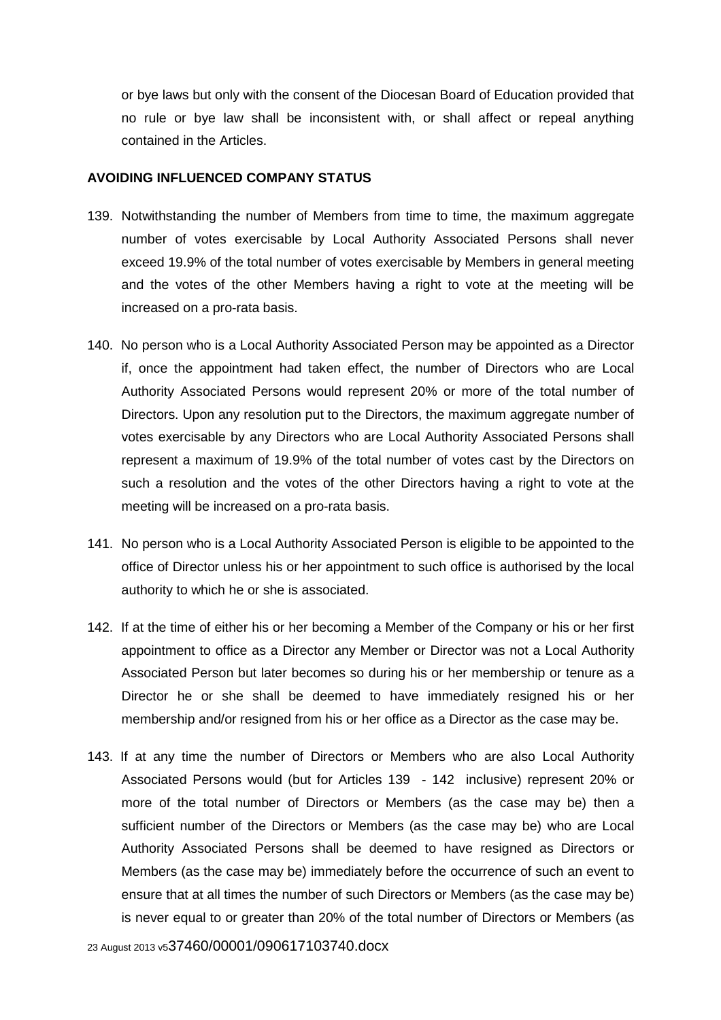or bye laws but only with the consent of the Diocesan Board of Education provided that no rule or bye law shall be inconsistent with, or shall affect or repeal anything contained in the Articles.

#### **AVOIDING INFLUENCED COMPANY STATUS**

- 139. Notwithstanding the number of Members from time to time, the maximum aggregate number of votes exercisable by Local Authority Associated Persons shall never exceed 19.9% of the total number of votes exercisable by Members in general meeting and the votes of the other Members having a right to vote at the meeting will be increased on a pro-rata basis.
- 140. No person who is a Local Authority Associated Person may be appointed as a Director if, once the appointment had taken effect, the number of Directors who are Local Authority Associated Persons would represent 20% or more of the total number of Directors. Upon any resolution put to the Directors, the maximum aggregate number of votes exercisable by any Directors who are Local Authority Associated Persons shall represent a maximum of 19.9% of the total number of votes cast by the Directors on such a resolution and the votes of the other Directors having a right to vote at the meeting will be increased on a pro-rata basis.
- 141. No person who is a Local Authority Associated Person is eligible to be appointed to the office of Director unless his or her appointment to such office is authorised by the local authority to which he or she is associated.
- 142. If at the time of either his or her becoming a Member of the Company or his or her first appointment to office as a Director any Member or Director was not a Local Authority Associated Person but later becomes so during his or her membership or tenure as a Director he or she shall be deemed to have immediately resigned his or her membership and/or resigned from his or her office as a Director as the case may be.
- 143. If at any time the number of Directors or Members who are also Local Authority Associated Persons would (but for Articles 139 - 142 inclusive) represent 20% or more of the total number of Directors or Members (as the case may be) then a sufficient number of the Directors or Members (as the case may be) who are Local Authority Associated Persons shall be deemed to have resigned as Directors or Members (as the case may be) immediately before the occurrence of such an event to ensure that at all times the number of such Directors or Members (as the case may be) is never equal to or greater than 20% of the total number of Directors or Members (as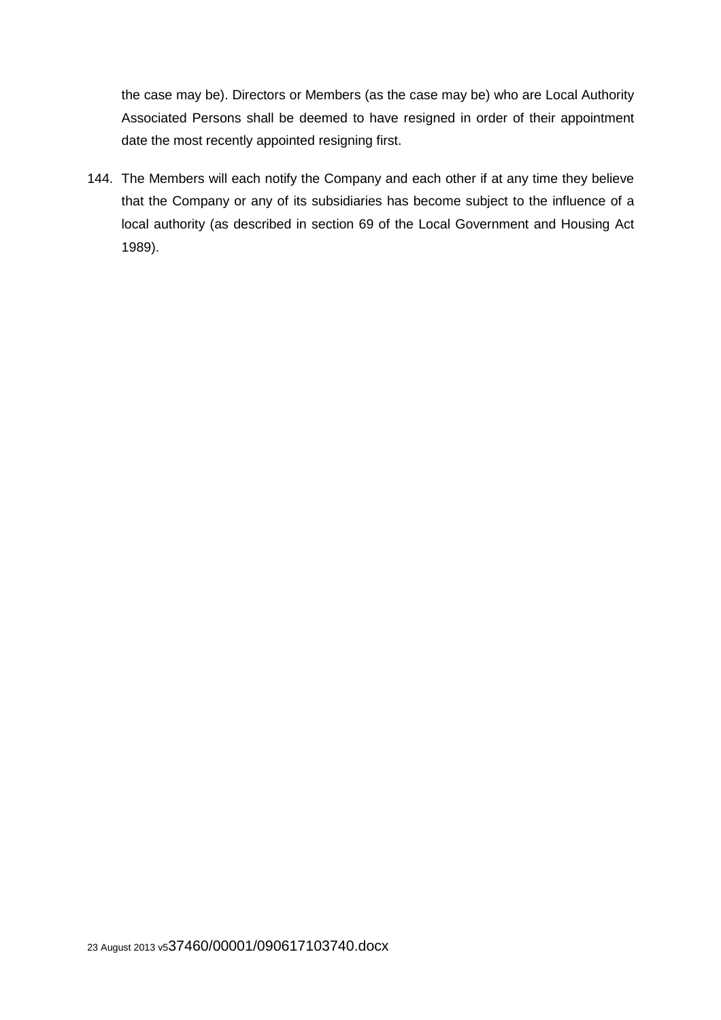the case may be). Directors or Members (as the case may be) who are Local Authority Associated Persons shall be deemed to have resigned in order of their appointment date the most recently appointed resigning first.

144. The Members will each notify the Company and each other if at any time they believe that the Company or any of its subsidiaries has become subject to the influence of a local authority (as described in section 69 of the Local Government and Housing Act 1989).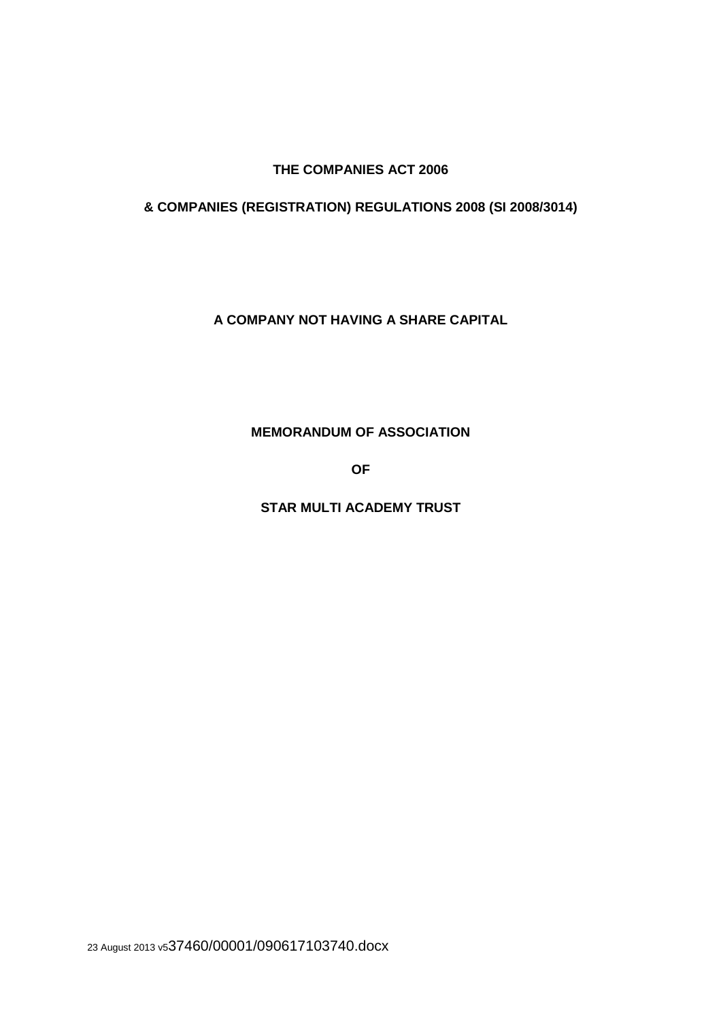**THE COMPANIES ACT 2006** 

**& COMPANIES (REGISTRATION) REGULATIONS 2008 (SI 2008/3014)** 

**A COMPANY NOT HAVING A SHARE CAPITAL** 

**MEMORANDUM OF ASSOCIATION** 

**OF**

**STAR MULTI ACADEMY TRUST** 

23 August 2013 v537460/00001/090617103740.docx